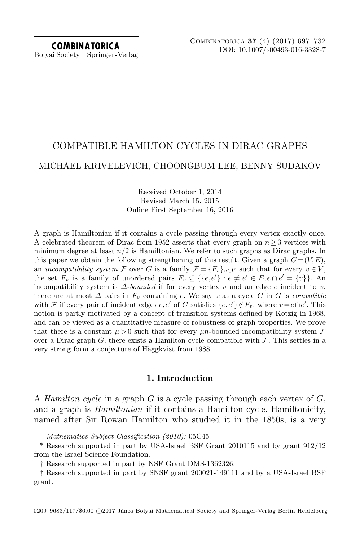# COMPATIBLE HAMILTON CYCLES IN DIRAC GRAPHS MICHAEL KRIVELEVICH, CHOONGBUM LEE, BENNY SUDAKOV

# Received October 1, 2014 Revised March 15, 2015 Online First September 16, 2016

A graph is Hamiltonian if it contains a cycle passing through every vertex exactly once. A celebrated theorem of Dirac from 1952 asserts that every graph on  $n \geq 3$  vertices with minimum degree at least  $n/2$  is Hamiltonian. We refer to such graphs as Dirac graphs. In this paper we obtain the following strengthening of this result. Given a graph  $G = (V, E)$ , an incompatibility system F over G is a family  $\mathcal{F} = \{F_v\}_{v \in V}$  such that for every  $v \in V$ , the set  $F_v$  is a family of unordered pairs  $F_v \subseteq \{\{e,e'\} : e \neq e' \in E, e \cap e' = \{v\}\}\.$  An incompatibility system is  $\Delta$ -bounded if for every vertex v and an edge e incident to v, there are at most  $\Delta$  pairs in  $F_v$  containing e. We say that a cycle C in G is compatible with F if every pair of incident edges  $e, e'$  of C satisfies  $\{e, e'\} \notin F_v$ , where  $v = e \cap e'$ . This notion is partly motivated by a concept of transition systems defined by Kotzig in 1968, and can be viewed as a quantitative measure of robustness of graph properties. We prove that there is a constant  $\mu > 0$  such that for every  $\mu$ n-bounded incompatibility system  $\mathcal F$ over a Dirac graph G, there exists a Hamilton cycle compatible with  $\mathcal F$ . This settles in a very strong form a conjecture of Häggkvist from 1988.

# 1. Introduction

A Hamilton cycle in a graph G is a cycle passing through each vertex of  $G$ , and a graph is Hamiltonian if it contains a Hamilton cycle. Hamiltonicity, named after Sir Rowan Hamilton who studied it in the 1850s, is a very

Mathematics Subject Classification (2010): 05C45

<sup>\*</sup> Research supported in part by USA-Israel BSF Grant 2010115 and by grant 912/12 from the Israel Science Foundation.

<sup>†</sup> Research supported in part by NSF Grant DMS-1362326.

<sup>‡</sup> Research supported in part by SNSF grant 200021-149111 and by a USA-Israel BSF grant.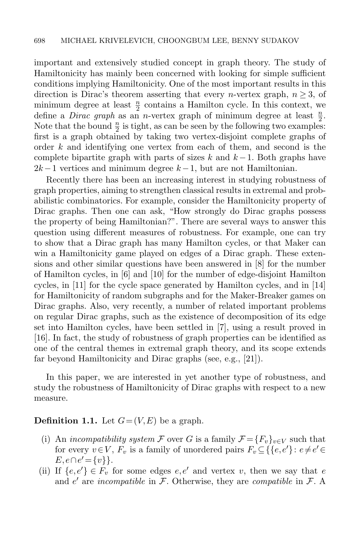important and extensively studied concept in graph theory. The study of Hamiltonicity has mainly been concerned with looking for simple sufficient conditions implying Hamiltonicity. One of the most important results in this direction is Dirac's theorem asserting that every *n*-vertex graph,  $n \geq 3$ , of minimum degree at least  $\frac{n}{2}$  contains a Hamilton cycle. In this context, we define a *Dirac graph* as an *n*-vertex graph of minimum degree at least  $\frac{n}{2}$ . Note that the bound  $\frac{n}{2}$  is tight, as can be seen by the following two examples: first is a graph obtained by taking two vertex-disjoint complete graphs of order  $k$  and identifying one vertex from each of them, and second is the complete bipartite graph with parts of sizes k and  $k-1$ . Both graphs have  $2k-1$  vertices and minimum degree  $k-1$ , but are not Hamiltonian.

Recently there has been an increasing interest in studying robustness of graph properties, aiming to strengthen classical results in extremal and probabilistic combinatorics. For example, consider the Hamiltonicity property of Dirac graphs. Then one can ask, "How strongly do Dirac graphs possess the property of being Hamiltonian?". There are several ways to answer this question using different measures of robustness. For example, one can try to show that a Dirac graph has many Hamilton cycles, or that Maker can win a Hamiltonicity game played on edges of a Dirac graph. These extensions and other similar questions have been answered in [\[8\]](#page-34-0) for the number of Hamilton cycles, in [\[6\]](#page-34-1) and [\[10\]](#page-34-2) for the number of edge-disjoint Hamilton cycles, in [\[11\]](#page-34-3) for the cycle space generated by Hamilton cycles, and in [\[14\]](#page-34-4) for Hamiltonicity of random subgraphs and for the Maker-Breaker games on Dirac graphs. Also, very recently, a number of related important problems on regular Dirac graphs, such as the existence of decomposition of its edge set into Hamilton cycles, have been settled in [\[7\]](#page-34-5), using a result proved in [\[16\]](#page-34-6). In fact, the study of robustness of graph properties can be identified as one of the central themes in extremal graph theory, and its scope extends far beyond Hamiltonicity and Dirac graphs (see, e.g., [\[21\]](#page-35-0)).

In this paper, we are interested in yet another type of robustness, and study the robustness of Hamiltonicity of Dirac graphs with respect to a new measure.

## **Definition 1.1.** Let  $G = (V, E)$  be a graph.

- (i) An incompatibility system F over G is a family  $\mathcal{F} = \{F_v\}_{v \in V}$  such that for every  $v \in V$ ,  $F_v$  is a family of unordered pairs  $F_v \subseteq \{ \{e, e'\} : e \neq e' \in$  $E, e \cap e' = \{v\}.$
- (ii) If  $\{e,e'\}\in F_v$  for some edges  $e,e'$  and vertex v, then we say that e and  $e'$  are *incompatible* in  $\mathcal{F}$ . Otherwise, they are *compatible* in  $\mathcal{F}$ . A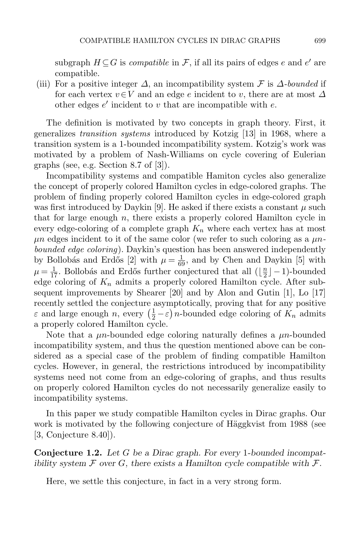subgraph  $H \subseteq G$  is *compatible* in  $\mathcal{F}$ , if all its pairs of edges e and e' are compatible.

(iii) For a positive integer  $\Delta$ , an incompatibility system  $\mathcal F$  is  $\Delta$ -bounded if for each vertex  $v \in V$  and an edge e incident to v, there are at most  $\Delta$ other edges  $e'$  incident to  $v$  that are incompatible with  $e$ .

The definition is motivated by two concepts in graph theory. First, it generalizes transition systems introduced by Kotzig [\[13\]](#page-34-7) in 1968, where a transition system is a 1-bounded incompatibility system. Kotzig's work was motivated by a problem of Nash-Williams on cycle covering of Eulerian graphs (see, e.g. Section 8.7 of [\[3\]](#page-34-8)).

Incompatibility systems and compatible Hamiton cycles also generalize the concept of properly colored Hamilton cycles in edge-colored graphs. The problem of finding properly colored Hamilton cycles in edge-colored graph was first introduced by Daykin [\[9\]](#page-34-9). He asked if there exists a constant  $\mu$  such that for large enough  $n$ , there exists a properly colored Hamilton cycle in every edge-coloring of a complete graph  $K_n$  where each vertex has at most  $\mu$ n edges incident to it of the same color (we refer to such coloring as a  $\mu$ nbounded edge coloring). Daykin's question has been answered independently by Bollobás and Erdős [\[2\]](#page-34-10) with  $\mu = \frac{1}{69}$ , and by Chen and Daykin [\[5\]](#page-34-11) with  $\mu = \frac{1}{17}$ . Bollobás and Erdős further conjectured that all  $(\frac{\pi}{2})$  $\frac{n}{2}$ ] – 1)-bounded edge coloring of  $K_n$  admits a properly colored Hamilton cycle. After subsequent improvements by Shearer [\[20\]](#page-35-1) and by Alon and Gutin [\[1\]](#page-34-12), Lo [\[17\]](#page-34-13) recently settled the conjecture asymptotically, proving that for any positive  $\varepsilon$  and large enough n, every  $\left(\frac{1}{2} - \varepsilon\right)n$ -bounded edge coloring of  $K_n$  admits a properly colored Hamilton cycle.

Note that a  $\mu$ n-bounded edge coloring naturally defines a  $\mu$ n-bounded incompatibility system, and thus the question mentioned above can be considered as a special case of the problem of finding compatible Hamilton cycles. However, in general, the restrictions introduced by incompatibility systems need not come from an edge-coloring of graphs, and thus results on properly colored Hamilton cycles do not necessarily generalize easily to incompatibility systems.

In this paper we study compatible Hamilton cycles in Dirac graphs. Our work is motivated by the following conjecture of Häggkvist from 1988 (see [\[3,](#page-34-8) Conjecture 8.40]).

<span id="page-2-0"></span>**Conjecture 1.2.** Let G be a Dirac graph. For every 1-bounded incompatibility system  $\mathcal F$  over  $G$ , there exists a Hamilton cycle compatible with  $\mathcal F$ .

<span id="page-2-1"></span>Here, we settle this conjecture, in fact in a very strong form.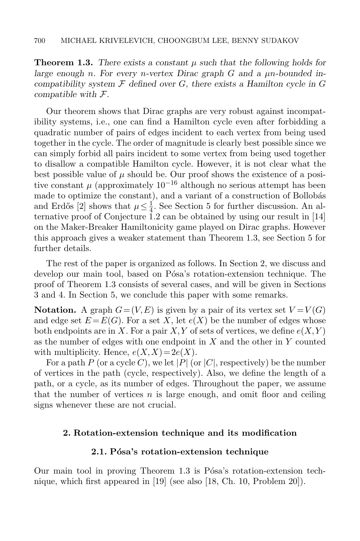**Theorem 1.3.** There exists a constant  $\mu$  such that the following holds for large enough n. For every n-vertex Dirac graph  $G$  and a  $\mu$ n-bounded incompatibility system  $\mathcal F$  defined over  $G$ , there exists a Hamilton cycle in  $G$ compatible with  $\mathcal{F}.$ 

Our theorem shows that Dirac graphs are very robust against incompatibility systems, i.e., one can find a Hamilton cycle even after forbidding a quadratic number of pairs of edges incident to each vertex from being used together in the cycle. The order of magnitude is clearly best possible since we can simply forbid all pairs incident to some vertex from being used together to disallow a compatible Hamilton cycle. However, it is not clear what the best possible value of  $\mu$  should be. Our proof shows the existence of a positive constant  $\mu$  (approximately 10<sup>-16</sup> although no serious attempt has been made to optimize the constant), and a variant of a construction of Bollobás and Erdős [\[2\]](#page-34-10) shows that  $\mu \leq \frac{1}{4}$  $\frac{1}{4}$ . See Section [5](#page-33-0) for further discussion. An alternative proof of Conjecture [1.2](#page-2-0) can be obtained by using our result in [\[14\]](#page-34-4) on the Maker-Breaker Hamiltonicity game played on Dirac graphs. However this approach gives a weaker statement than Theorem [1.3,](#page-2-1) see Section [5](#page-33-0) for further details.

The rest of the paper is organized as follows. In Section [2,](#page-3-0) we discuss and develop our main tool, based on Pósa's rotation-extension technique. The proof of Theorem [1.3](#page-2-1) consists of several cases, and will be given in Sections [3](#page-8-0) and [4.](#page-21-0) In Section [5,](#page-33-0) we conclude this paper with some remarks.

**Notation.** A graph  $G = (V, E)$  is given by a pair of its vertex set  $V = V(G)$ and edge set  $E = E(G)$ . For a set X, let  $e(X)$  be the number of edges whose both endpoints are in X. For a pair  $X, Y$  of sets of vertices, we define  $e(X, Y)$ as the number of edges with one endpoint in  $X$  and the other in  $Y$  counted with multiplicity. Hence,  $e(X, X) = 2e(X)$ .

For a path P (or a cycle C), we let |P| (or |C|, respectively) be the number of vertices in the path (cycle, respectively). Also, we define the length of a path, or a cycle, as its number of edges. Throughout the paper, we assume that the number of vertices  $n$  is large enough, and omit floor and ceiling signs whenever these are not crucial.

# <span id="page-3-0"></span>2. Rotation-extension technique and its modification

# 2.1. Pósa's rotation-extension technique

Our main tool in proving Theorem [1.3](#page-2-1) is Pósa's rotation-extension technique, which first appeared in [\[19\]](#page-35-2) (see also [\[18,](#page-34-14) Ch. 10, Problem 20]).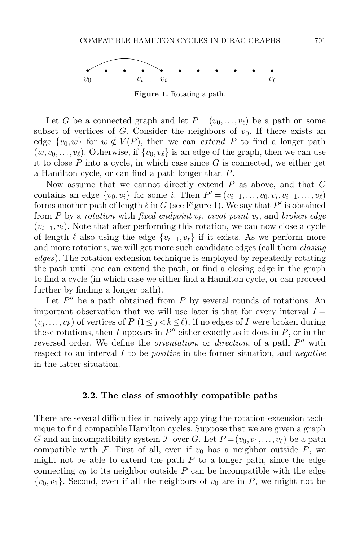

<span id="page-4-0"></span>Figure 1. Rotating a path.

Let G be a connected graph and let  $P = (v_0, \ldots, v_\ell)$  be a path on some subset of vertices of G. Consider the neighbors of  $v_0$ . If there exists an edge  $\{v_0, w\}$  for  $w \notin V(P)$ , then we can *extend P* to find a longer path  $(w, v_0, \ldots, v_\ell)$ . Otherwise, if  $\{v_0, v_\ell\}$  is an edge of the graph, then we can use it to close  $P$  into a cycle, in which case since  $G$  is connected, we either get a Hamilton cycle, or can find a path longer than P.

Now assume that we cannot directly extend  $P$  as above, and that  $G$ contains an edge  $\{v_0, v_i\}$  for some *i*. Then  $P' = (v_{i-1}, \ldots, v_0, v_i, v_{i+1}, \ldots, v_\ell)$ forms another path of length  $\ell$  in  $G$  (see Figure [1\)](#page-4-0). We say that  $P'$  is obtained from P by a rotation with fixed endpoint  $v_{\ell}$ , pivot point  $v_i$ , and broken edge  $(v_{i-1},v_i)$ . Note that after performing this rotation, we can now close a cycle of length  $\ell$  also using the edge  $\{v_{i-1},v_{\ell}\}\$ if it exists. As we perform more and more rotations, we will get more such candidate edges (call them *closing* edges). The rotation-extension technique is employed by repeatedly rotating the path until one can extend the path, or find a closing edge in the graph to find a cycle (in which case we either find a Hamilton cycle, or can proceed further by finding a longer path).

Let  $P''$  be a path obtained from P by several rounds of rotations. An important observation that we will use later is that for every interval  $I =$  $(v_i, \ldots, v_k)$  of vertices of  $P(1 \leq j < k \leq \ell)$ , if no edges of I were broken during these rotations, then I appears in  $P''$  either exactly as it does in  $P$ , or in the reversed order. We define the *orientation*, or *direction*, of a path  $P''$  with respect to an interval  $I$  to be *positive* in the former situation, and *negative* in the latter situation.

#### 2.2. The class of smoothly compatible paths

There are several difficulties in naively applying the rotation-extension technique to find compatible Hamilton cycles. Suppose that we are given a graph G and an incompatibility system F over G. Let  $P = (v_0, v_1, \ldots, v_\ell)$  be a path compatible with F. First of all, even if  $v_0$  has a neighbor outside P, we might not be able to extend the path  $P$  to a longer path, since the edge connecting  $v_0$  to its neighbor outside P can be incompatible with the edge  $\{v_0,v_1\}$ . Second, even if all the neighbors of  $v_0$  are in P, we might not be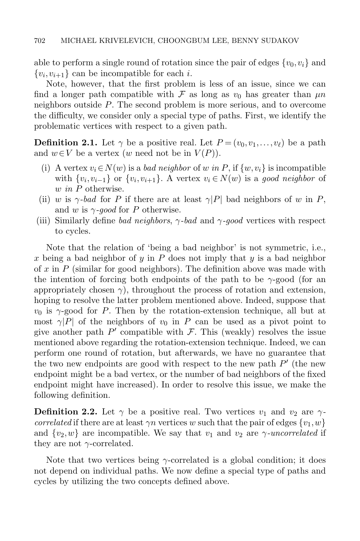able to perform a single round of rotation since the pair of edges  $\{v_0,v_i\}$  and  $\{v_i, v_{i+1}\}\)$  can be incompatible for each *i*.

Note, however, that the first problem is less of an issue, since we can find a longer path compatible with F as long as  $v_0$  has greater than  $\mu n$ neighbors outside P. The second problem is more serious, and to overcome the difficulty, we consider only a special type of paths. First, we identify the problematic vertices with respect to a given path.

**Definition 2.1.** Let  $\gamma$  be a positive real. Let  $P = (v_0, v_1, \ldots, v_\ell)$  be a path and  $w \in V$  be a vertex (w need not be in  $V(P)$ ).

- (i) A vertex  $v_i \in N(w)$  is a *bad neighbor* of w in P, if  $\{w, v_i\}$  is incompatible with  $\{v_i, v_{i-1}\}$  or  $\{v_i, v_{i+1}\}$ . A vertex  $v_i \in N(w)$  is a good neighbor of w in P otherwise.
- (ii) w is  $\gamma$ -bad for P if there are at least  $\gamma$ |P| bad neighbors of w in P, and w is  $\gamma$ -good for P otherwise.
- (iii) Similarly define bad neighbors,  $\gamma$ -bad and  $\gamma$ -good vertices with respect to cycles.

Note that the relation of 'being a bad neighbor' is not symmetric, i.e., x being a bad neighbor of y in  $P$  does not imply that y is a bad neighbor of  $x$  in  $P$  (similar for good neighbors). The definition above was made with the intention of forcing both endpoints of the path to be  $\gamma$ -good (for an appropriately chosen  $\gamma$ ), throughout the process of rotation and extension, hoping to resolve the latter problem mentioned above. Indeed, suppose that  $v_0$  is  $\gamma$ -good for P. Then by the rotation-extension technique, all but at most  $\gamma|P|$  of the neighbors of  $v_0$  in P can be used as a pivot point to give another path  $P'$  compatible with  $\mathcal F$ . This (weakly) resolves the issue mentioned above regarding the rotation-extension technique. Indeed, we can perform one round of rotation, but afterwards, we have no guarantee that the two new endpoints are good with respect to the new path  $P'$  (the new endpoint might be a bad vertex, or the number of bad neighbors of the fixed endpoint might have increased). In order to resolve this issue, we make the following definition.

**Definition 2.2.** Let  $\gamma$  be a positive real. Two vertices  $v_1$  and  $v_2$  are  $\gamma$ correlated if there are at least  $\gamma n$  vertices w such that the pair of edges  $\{v_1, w\}$ and  $\{v_2,w\}$  are incompatible. We say that  $v_1$  and  $v_2$  are  $\gamma$ -uncorrelated if they are not  $\gamma$ -correlated.

Note that two vertices being  $\gamma$ -correlated is a global condition; it does not depend on individual paths. We now define a special type of paths and cycles by utilizing the two concepts defined above.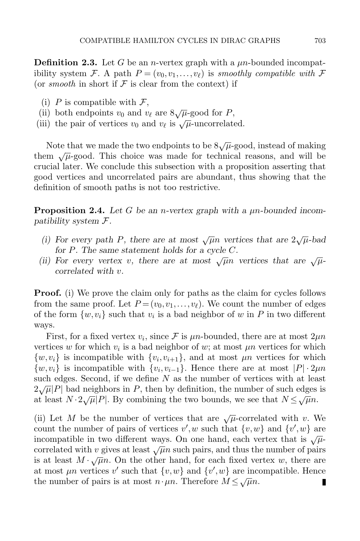**Definition 2.3.** Let G be an *n*-vertex graph with a  $\mu$ *n*-bounded incompatibility system F. A path  $P = (v_0, v_1, \ldots, v_\ell)$  is smoothly compatible with F (or smooth in short if  $\mathcal F$  is clear from the context) if

- (i) P is compatible with  $\mathcal{F},$
- (ii) both endpoints  $v_0$  and  $v_\ell$  are  $8\sqrt{\mu}$ -good for P,
- (ii) both endpoints  $v_0$  and  $v_\ell$  are  $\partial \sqrt{\mu}$ -good for  $\overline{I}$ ,<br>(iii) the pair of vertices  $v_0$  and  $v_\ell$  is  $\sqrt{\mu}$ -uncorrelated.

Note that we made the two endpoints to be  $8\sqrt{\mu}$ -good, instead of making them  $\sqrt{\mu}$ -good. This choice was made for technical reasons, and will be crucial later. We conclude this subsection with a proposition asserting that good vertices and uncorrelated pairs are abundant, thus showing that the definition of smooth paths is not too restrictive.

<span id="page-6-0"></span>**Proposition 2.4.** Let G be an *n*-vertex graph with a  $\mu$ *n*-bounded incompatibility system F.

- (i) For every path P, there are at most  $\sqrt{\mu}n$  vertices that are  $2\sqrt{\mu}$ -bad for P. The same statement holds for a cycle C.
- (ii) For every vertex v, there are at most  $\sqrt{\mu}n$  vertices that are  $\sqrt{\mu}$ correlated with v.

**Proof.** (i) We prove the claim only for paths as the claim for cycles follows from the same proof. Let  $P = (v_0, v_1, \ldots, v_\ell)$ . We count the number of edges of the form  $\{w, v_i\}$  such that  $v_i$  is a bad neighbor of w in P in two different ways.

First, for a fixed vertex  $v_i$ , since  $\mathcal F$  is  $\mu n$ -bounded, there are at most  $2\mu n$ vertices w for which  $v_i$  is a bad neighbor of w; at most  $\mu n$  vertices for which  $\{w, v_i\}$  is incompatible with  $\{v_i, v_{i+1}\}$ , and at most  $\mu n$  vertices for which  $\{w, v_i\}$  is incompatible with  $\{v_i, v_{i-1}\}$ . Hence there are at most  $|P| \cdot 2\mu n$ such edges. Second, if we define  $N$  as the number of vertices with at least  $2\sqrt{\mu}|P|$  bad neighbors in P, then by definition, the number of such edges is  $\alpha \sqrt{\mu} |P|$  bad neighbors in T, then by definition, the number of such edges at least  $N \cdot 2\sqrt{\mu} |P|$ . By combining the two bounds, we see that  $N \leq \sqrt{\mu} n$ .

(ii) Let M be the number of vertices that are  $\sqrt{\mu}$ -correlated with v. We count the number of pairs of vertices  $v', w$  such that  $\{v, w\}$  and  $\{v', w\}$  are incompatible in two different ways. On one hand, each vertex that is  $\sqrt{\mu}$ correlated with v gives at least  $\sqrt{\mu}n$  such pairs, and thus the number of pairs is at least  $M \cdot \sqrt{\mu}n$ . On the other hand, for each fixed vertex w, there are at most  $\mu n$  vertices v' such that  $\{v, w\}$  and  $\{v', w\}$  are incompatible. Hence the number of pairs is at most  $n \cdot \mu n$ . Therefore  $M \le \sqrt{\mu}n$ . П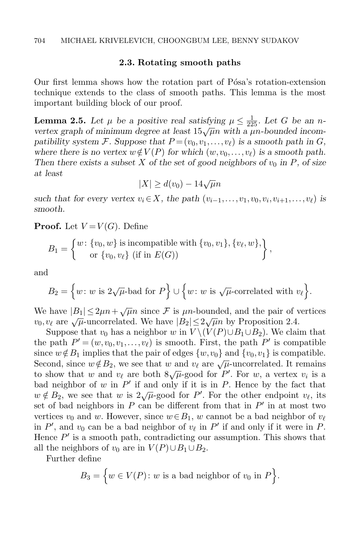## 2.3. Rotating smooth paths

Our first lemma shows how the rotation part of Pósa's rotation-extension technique extends to the class of smooth paths. This lemma is the most important building block of our proof.

<span id="page-7-0"></span>**Lemma 2.5.** Let  $\mu$  be a positive real satisfying  $\mu \leq \frac{1}{225}$ . Let G be an nvertex graph of minimum degree at least  $15\sqrt{\mu}n$  with a  $\mu$ n-bounded incompatibility system F. Suppose that  $P = (v_0, v_1, \ldots, v_\ell)$  is a smooth path in G, where there is no vertex  $w \notin V(P)$  for which  $(w, v_0, \ldots, v_\ell)$  is a smooth path. Then there exists a subset X of the set of good neighbors of  $v_0$  in P, of size at least

$$
|X| \ge d(v_0) - 14\sqrt{\mu}n
$$

such that for every vertex  $v_i \in X$ , the path  $(v_{i-1},...,v_1,v_0,v_i,v_{i+1},...,v_\ell)$  is smooth.

**Proof.** Let  $V = V(G)$ . Define

$$
B_1 = \left\{ \begin{matrix} w \colon \{v_0, w\} \text{ is incompatible with } \{v_0, v_1\}, \{v_\ell, w\}, \\ \text{or } \{v_0, v_\ell\} \text{ (if in } E(G)) \end{matrix} \right\},\
$$

and

$$
B_2 = \Big\{ w \colon w \text{ is } 2\sqrt{\mu} \text{-bad for } P \Big\} \cup \Big\{ w \colon w \text{ is } \sqrt{\mu} \text{-correlated with } v_\ell \Big\}.
$$

We have  $|B_1| \leq 2\mu n + \sqrt{\mu}n$  since  $\mathcal F$  is  $\mu n$ -bounded, and the pair of vertices we have  $|B_1| \le 2\mu n + \sqrt{\mu n}$  since  $\lambda$  is  $\mu n$ -bounded, and the pair of  $v_0, v_\ell$  are  $\sqrt{\mu}$ -uncorrelated. We have  $|B_2| \le 2\sqrt{\mu n}$  by Proposition [2.4.](#page-6-0)

Suppose that  $v_0$  has a neighbor w in  $V \setminus (V(P) \cup B_1 \cup B_2)$ . We claim that the path  $P' = (w, v_0, v_1, \dots, v_\ell)$  is smooth. First, the path  $P'$  is compatible since  $w \notin B_1$  implies that the pair of edges  $\{w, v_0\}$  and  $\{v_0, v_1\}$  is compatible. Second, since  $w \notin B_2$ , we see that w and  $v_{\ell}$  are  $\sqrt{\mu}$ -uncorrelated. It remains become, since  $w \notin D_2$ , we see that w and  $v_\ell$  are  $\sqrt{\mu}$ -uncorrelated. It remains<br>to show that w and  $v_\ell$  are both  $8\sqrt{\mu}$ -good for P'. For w, a vertex  $v_i$  is a bad neighbor of w in  $P'$  if and only if it is in P. Hence by the fact that bad heighbor of w in T in and only in it is in T. Hence by the fact that  $w \notin B_2$ , we see that w is  $2\sqrt{\mu}$ -good for P'. For the other endpoint  $v_{\ell}$ , its set of bad neighbors in  $P$  can be different from that in  $P'$  in at most two vertices  $v_0$  and w. However, since  $w \in B_1$ , w cannot be a bad neighbor of  $v_\ell$ in P', and  $v_0$  can be a bad neighbor of  $v_\ell$  in P' if and only if it were in P. Hence  $P'$  is a smooth path, contradicting our assumption. This shows that all the neighbors of  $v_0$  are in  $V(P) \cup B_1 \cup B_2$ .

Further define

$$
B_3 = \Big\{ w \in V(P) \colon w \text{ is a bad neighbor of } v_0 \text{ in } P \Big\}.
$$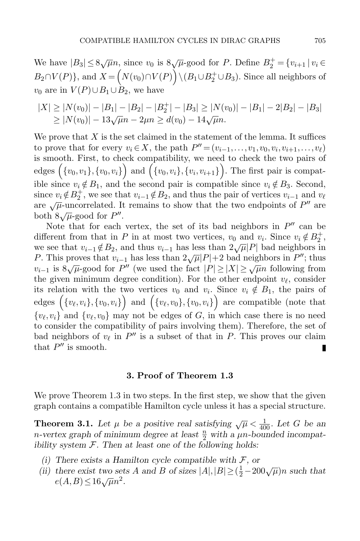We have  $|B_3| \leq 8\sqrt{\mu}n$ , since  $v_0$  is  $8\sqrt{\mu}$ -good for P. Define  $B_2^+ = \{v_{i+1} | v_i \in$  $B_2 \cap V(P)$ }, and  $X = (N(v_0) \cap V(P)) \setminus (B_1 \cup B_2^+ \cup B_3)$ . Since all neighbors of  $v_0$  are in  $V(P) \cup B_1 \cup B_2$ , we have

$$
|X| \ge |N(v_0)| - |B_1| - |B_2| - |B_2^+| - |B_3| \ge |N(v_0)| - |B_1| - 2|B_2| - |B_3| \ge |N(v_0)| - 13\sqrt{\mu}n - 2\mu n \ge d(v_0) - 14\sqrt{\mu}n.
$$

We prove that  $X$  is the set claimed in the statement of the lemma. It suffices to prove that for every  $v_i \in X$ , the path  $P'' = (v_{i-1}, \ldots, v_1, v_0, v_i, v_{i+1}, \ldots, v_\ell)$ is smooth. First, to check compatibility, we need to check the two pairs of edges  $(\{v_0, v_1\}, \{v_0, v_i\})$  and  $(\{v_0, v_i\}, \{v_i, v_{i+1}\})$ . The first pair is compatible since  $v_i \notin B_1$ , and the second pair is compatible since  $v_i \notin B_3$ . Second, since  $v_i \notin B_2^+$ , we see that  $v_{i-1} \notin B_2$ , and thus the pair of vertices  $v_{i-1}$  and  $v_{\ell}$ are  $\sqrt{\mu}$ -uncorrelated. It remains to show that the two endpoints of P'' are  $\det \sqrt{\mu}$  denoted  $\det B$ .

Note that for each vertex, the set of its bad neighbors in  $P''$  can be different from that in P in at most two vertices,  $v_0$  and  $v_i$ . Since  $v_i \notin B_2^+$ , we see that  $v_{i-1} \notin B_2$ , and thus  $v_{i-1}$  has less than  $2\sqrt{\mu} |P|$  bad neighbors in P. This proves that  $v_{i-1}$  has less than  $2\sqrt{\mu}|P|+2$  bad neighbors in  $P''$ ; thus v<sub>i−1</sub> is  $8\sqrt{\mu}$ -good for P'' (we used the fact  $|P| \ge |X| \ge \sqrt{\mu}n$  following from the given minimum degree condition). For the other endpoint  $v_{\ell}$ , consider its relation with the two vertices  $v_0$  and  $v_i$ . Since  $v_i \notin B_1$ , the pairs of edges  $(\{v_\ell,v_i\}, \{v_0,v_i\})$  and  $(\{v_\ell,v_0\}, \{v_0,v_i\})$  are compatible (note that  ${v_\ell, v_i}$  and  ${v_\ell, v_0}$  may not be edges of G, in which case there is no need to consider the compatibility of pairs involving them). Therefore, the set of bad neighbors of  $v_\ell$  in  $P''$  is a subset of that in P. This proves our claim that  $P''$  is smooth. I

#### 3. Proof of Theorem [1.3](#page-2-1)

<span id="page-8-0"></span>We prove Theorem [1.3](#page-2-1) in two steps. In the first step, we show that the given graph contains a compatible Hamilton cycle unless it has a special structure.

<span id="page-8-1"></span>**Theorem 3.1.** Let  $\mu$  be a positive real satisfying  $\sqrt{\mu} < \frac{1}{400}$ . Let G be an n-vertex graph of minimum degree at least  $\frac{n}{2}$  with a  $\mu$ n-bounded incompatibility system  $\mathcal{F}$ . Then at least one of the following holds:

- (i) There exists a Hamilton cycle compatible with  $\mathcal{F}$ , or
- (i) There exists a Hammon cycle compatible with  $\lambda$ , or<br>
(ii) there exist two sets A and B of sizes  $|A|, |B| \ge (\frac{1}{2} 200\sqrt{\mu})n$  such that e(A,B)  $\leq 16\sqrt{\mu}n^2$ .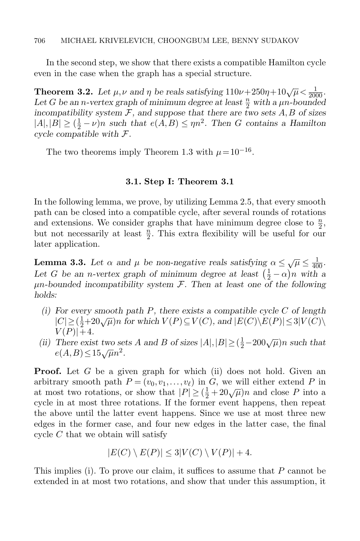In the second step, we show that there exists a compatible Hamilton cycle even in the case when the graph has a special structure.

<span id="page-9-1"></span>**Theorem 3.2.** Let  $\mu, \nu$  and  $\eta$  be reals satisfying  $110\nu + 250\eta + 10\sqrt{\mu} < \frac{1}{2000}$ . Let G be an n-vertex graph of minimum degree at least  $\frac{n}{2}$  with a  $\mu$ n-bounded incompatibility system  $\mathcal F$ , and suppose that there are two sets  $A, B$  of sizes  $|A|,|B| \geq (\frac{1}{2} - \nu)n$  such that  $e(A, B) \leq \eta n^2$ . Then G contains a Hamilton cycle compatible with F.

The two theorems imply Theorem [1.3](#page-2-1) with  $\mu = 10^{-16}$ .

# 3.1. Step I: Theorem [3.1](#page-8-1)

In the following lemma, we prove, by utilizing Lemma [2.5,](#page-7-0) that every smooth path can be closed into a compatible cycle, after several rounds of rotations and extensions. We consider graphs that have minimum degree close to  $\frac{n}{2}$ , but not necessarily at least  $\frac{n}{2}$ . This extra flexibility will be useful for our later application.

<span id="page-9-0"></span>**Lemma 3.3.** Let  $\alpha$  and  $\mu$  be non-negative reals satisfying  $\alpha \leq \sqrt{\mu} \leq \frac{1}{400}$ . Let G be an n-vertex graph of minimum degree at least  $(\frac{1}{2} - \alpha)n$  with a  $\mu$ n-bounded incompatibility system  $\mathcal F$ . Then at least one of the following holds:

- (i) For every smooth path P, there exists a compatible cycle C of length  $|C| \geq (\frac{1}{2}+20\sqrt{\mu})n$  for which  $V(P) \subseteq V(C)$ , and  $|E(C)\setminus E(P)| \leq 3|V(C)\setminus$  $V(P)|+4.$
- (ii) There exist two sets A and B of sizes  $|A|, |B| \ge (\frac{1}{2} 200\sqrt{\mu})n$  such that  $e(A,B) \leq 15\sqrt{\mu}n^2$ .

**Proof.** Let G be a given graph for which (ii) does not hold. Given an arbitrary smooth path  $P = (v_0, v_1, \ldots, v_\ell)$  in G, we will either extend P in at most two rotations, or show that  $|P| \ge (\frac{1}{2} + 20\sqrt{\mu})n$  and close P into a cycle in at most three rotations. If the former event happens, then repeat the above until the latter event happens. Since we use at most three new edges in the former case, and four new edges in the latter case, the final cycle C that we obtain will satisfy

$$
|E(C) \setminus E(P)| \le 3|V(C) \setminus V(P)| + 4.
$$

This implies (i). To prove our claim, it suffices to assume that  $P$  cannot be extended in at most two rotations, and show that under this assumption, it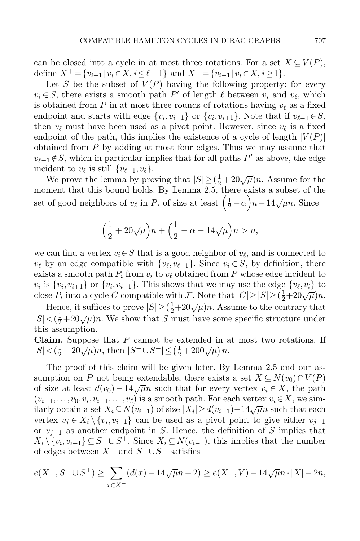can be closed into a cycle in at most three rotations. For a set  $X \subseteq V(P)$ , define  $X^+ = \{v_{i+1} | v_i \in X, i \leq \ell-1\}$  and  $X^- = \{v_{i-1} | v_i \in X, i \geq 1\}.$ 

Let S be the subset of  $V(P)$  having the following property: for every  $v_i \in S$ , there exists a smooth path  $P'$  of length  $\ell$  between  $v_i$  and  $v_\ell$ , which is obtained from P in at most three rounds of rotations having  $v_\ell$  as a fixed endpoint and starts with edge  $\{v_i, v_{i-1}\}$  or  $\{v_i, v_{i+1}\}$ . Note that if  $v_{\ell-1} \in S$ , then  $v_\ell$  must have been used as a pivot point. However, since  $v_\ell$  is a fixed endpoint of the path, this implies the existence of a cycle of length  $|V(P)|$ obtained from  $P$  by adding at most four edges. Thus we may assume that  $v_{\ell-1} \notin S$ , which in particular implies that for all paths P' as above, the edge incident to  $v_{\ell}$  is still  $\{v_{\ell-1},v_{\ell}\}.$ 

We prove the lemma by proving that  $|S| \geq (\frac{1}{2} + 20\sqrt{\mu})n$ . Assume for the moment that this bound holds. By Lemma [2.5,](#page-7-0) there exists a subset of the set of good neighbors of  $v_\ell$  in P, of size at least  $\left(\frac{1}{2} - \alpha\right)n - 14\sqrt{\mu}n$ . Since

$$
\left(\frac{1}{2} + 20\sqrt{\mu}\right)n + \left(\frac{1}{2} - \alpha - 14\sqrt{\mu}\right)n > n,
$$

we can find a vertex  $v_i \in S$  that is a good neighbor of  $v_\ell$ , and is connected to  $v_{\ell}$  by an edge compatible with  $\{v_{\ell}, v_{\ell-1}\}\)$ . Since  $v_i \in S$ , by definition, there exists a smooth path  $P_i$  from  $v_i$  to  $v_\ell$  obtained from P whose edge incident to  $v_i$  is  $\{v_i, v_{i+1}\}$  or  $\{v_i, v_{i-1}\}$ . This shows that we may use the edge  $\{v_\ell, v_i\}$  to close  $P_i$  into a cycle C compatible with F. Note that  $|C| \ge |S| \ge (\frac{1}{2} + 20\sqrt{\mu})n$ .

Hence, it suffices to prove  $|S| \geq (\frac{1}{2} + 20\sqrt{\mu})n$ . Assume to the contrary that  $|S| < (\frac{1}{2} + 20\sqrt{\mu})n$ . We show that S must have some specific structure under this assumption.

**Claim.** Suppose that  $P$  cannot be extended in at most two rotations. If  $|S| < (\frac{1}{2} + 20\sqrt{\mu})n$ , then  $|S^- \cup S^+| \le (\frac{1}{2} + 200\sqrt{\mu})n$ .

The proof of this claim will be given later. By Lemma [2.5](#page-7-0) and our assumption on P not being extendable, there exists a set  $X \subseteq N(v_0) \cap V(P)$ of size at least  $d(v_0) - 14\sqrt{\mu}n$  such that for every vertex  $v_i \in X$ , the path  $(v_{i-1},\ldots,v_0,v_i,v_{i+1},\ldots,v_\ell)$  is a smooth path. For each vertex  $v_i \in X$ , we sim- $\lim_{(v_i-1,\dots,v_i)} \log \lim_{i\to \infty} \log \lim_{i\to \infty} \log \lim_{i\to \infty} \log \lim_{i\to \infty} \log \lim_{i\to \infty} \log \lim_{i\to \infty} \log \lim_{i\to \infty} \log \lim_{i\to \infty} \log \lim_{i\to \infty} \log \lim_{i\to \infty} \log \lim_{i\to \infty} \log \lim_{i\to \infty} \log \lim_{i\to \infty} \log \lim_{i\to \infty} \log \lim_{i\to \infty} \log \lim_{i\to \infty} \log \lim_{i\to \infty} \log \$ vertex  $v_j \in X_i \setminus \{v_i, v_{i+1}\}\)$  can be used as a pivot point to give either  $v_{j-1}$ or  $v_{j+1}$  as another endpoint in S. Hence, the definition of S implies that  $X_i \setminus \{v_i, v_{i+1}\} \subseteq S^- \cup S^+$ . Since  $X_i \subseteq N(v_{i-1})$ , this implies that the number of edges between  $X^-$  and  $S^- \cup S^+$  satisfies

$$
e(X^-, S^- \cup S^+) \ge \sum_{x \in X^-} (d(x) - 14\sqrt{\mu}n - 2) \ge e(X^-, V) - 14\sqrt{\mu}n \cdot |X| - 2n,
$$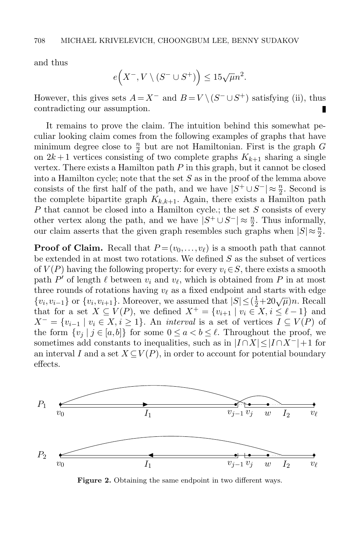and thus

$$
e\Big(X^-, V\setminus (S^-\cup S^+)\Big)\le 15\sqrt{\mu}n^2.
$$

However, this gives sets  $A = X^-$  and  $B = V \setminus (S^- \cup S^+)$  satisfying (ii), thus contradicting our assumption.

It remains to prove the claim. The intuition behind this somewhat peculiar looking claim comes from the following examples of graphs that have minimum degree close to  $\frac{n}{2}$  but are not Hamiltonian. First is the graph G on  $2k+1$  vertices consisting of two complete graphs  $K_{k+1}$  sharing a single vertex. There exists a Hamilton path  $P$  in this graph, but it cannot be closed into a Hamilton cycle; note that the set S as in the proof of the lemma above consists of the first half of the path, and we have  $|S^+ \cup S^-| \approx \frac{n}{2}$ . Second is the complete bipartite graph  $K_{k,k+1}$ . Again, there exists a Hamilton path P that cannot be closed into a Hamilton cycle.; the set S consists of every other vertex along the path, and we have  $|S^+ \cup S^-| \approx \frac{n}{2}$ . Thus informally, our claim asserts that the given graph resembles such graphs when  $|S| \approx \frac{n}{2}$ .

**Proof of Claim.** Recall that  $P = (v_0, \ldots, v_\ell)$  is a smooth path that cannot be extended in at most two rotations. We defined  $S$  as the subset of vertices of  $V(P)$  having the following property: for every  $v_i \in S$ , there exists a smooth path  $P'$  of length  $\ell$  between  $v_i$  and  $v_\ell$ , which is obtained from  $P$  in at most three rounds of rotations having  $v_{\ell}$  as a fixed endpoint and starts with edge  ${v_i, v_{i-1}}$  or  ${v_i, v_{i+1}}$ . Moreover, we assumed that  $|S| \leq (\frac{1}{2} + 20\sqrt{\mu})n$ . Recall that for a set  $X \subseteq V(P)$ , we defined  $X^+ = \{v_{i+1} \mid v_i \in X, i \leq \ell - 1\}$  and  $X^- = \{v_{i-1} \mid v_i \in X, i \geq 1\}.$  An *interval* is a set of vertices  $I \subseteq V(P)$  of the form  $\{v_j \mid j \in [a, b]\}\$  for some  $0 \le a < b \le \ell$ . Throughout the proof, we sometimes add constants to inequalities, such as in  $|I \cap X| \leq |I \cap X^{-}|+1$  for an interval I and a set  $X \subseteq V(P)$ , in order to account for potential boundary effects.



<span id="page-11-0"></span>Figure 2. Obtaining the same endpoint in two different ways.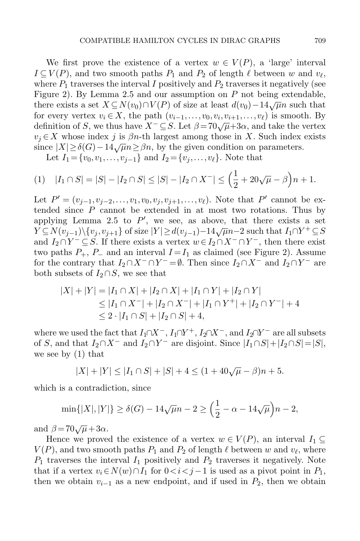We first prove the existence of a vertex  $w \in V(P)$ , a 'large' interval  $I \subseteq V(P)$ , and two smooth paths  $P_1$  and  $P_2$  of length  $\ell$  between w and  $v_{\ell}$ , where  $P_1$  traverses the interval I positively and  $P_2$  traverses it negatively (see Figure [2\)](#page-11-0). By Lemma [2.5](#page-7-0) and our assumption on P not being extendable, there exists a set  $X \subseteq N(v_0) \cap V(P)$  of size at least  $d(v_0) - 14\sqrt{\mu}n$  such that for every vertex  $v_i \in X$ , the path  $(v_{i-1},...,v_0,v_i,v_{i+1},...,v_\ell)$  is smooth. By definition of S, we thus have  $X^- \subseteq S$ . Let  $\beta = 70\sqrt{\mu} + 3\alpha$ , and take the vertex  $v_j \in X$  whose index j is  $\beta n$ -th largest among those in X. Such index exists since  $|X| \geq \delta(G) - 14\sqrt{\mu}n \geq \beta n$ , by the given condition on parameters.

Let  $I_1 = \{v_0, v_1, \ldots, v_{j-1}\}\$  and  $I_2 = \{v_j, \ldots, v_\ell\}$ . Note that

<span id="page-12-0"></span>
$$
(1) \quad |I_1 \cap S| = |S| - |I_2 \cap S| \le |S| - |I_2 \cap X^-| \le \left(\frac{1}{2} + 20\sqrt{\mu} - \beta\right)n + 1.
$$

Let  $P' = (v_{j-1}, v_{j-2}, \ldots, v_1, v_0, v_j, v_{j+1}, \ldots, v_\ell)$ . Note that P' cannot be extended since  $P$  cannot be extended in at most two rotations. Thus by applying Lemma [2.5](#page-7-0) to  $P'$ , we see, as above, that there exists a set  $Y \subseteq N(v_{j-1}) \setminus \{v_j, v_{j+1}\}\$  of size  $|Y| \geq d(v_{j-1})-14\sqrt{\mu}n-2$  such that  $I_1 \cap Y^+ \subseteq S$ and  $I_2 \cap Y^- \subseteq S$ . If there exists a vertex  $w \in I_2 \cap X^- \cap Y^-$ , then there exist two paths  $P_+$ ,  $P_-$  and an interval  $I = I_1$  as claimed (see Figure [2\)](#page-11-0). Assume for the contrary that  $I_2 \cap X^- \cap Y^- = \emptyset$ . Then since  $I_2 \cap X^-$  and  $I_2 \cap Y^-$  are both subsets of  $I_2 \cap S$ , we see that

$$
|X| + |Y| = |I_1 \cap X| + |I_2 \cap X| + |I_1 \cap Y| + |I_2 \cap Y|
$$
  
\n
$$
\leq |I_1 \cap X^-| + |I_2 \cap X^-| + |I_1 \cap Y^+| + |I_2 \cap Y^-| + 4
$$
  
\n
$$
\leq 2 \cdot |I_1 \cap S| + |I_2 \cap S| + 4,
$$

where we used the fact that  $I_1 \cap X^-$ ,  $I_1 \cap Y^+$ ,  $I_2 \cap X^-$ , and  $I_2 \cap Y^-$  are all subsets of S, and that  $I_2 \cap X^-$  and  $I_2 \cap Y^-$  are disjoint. Since  $|I_1 \cap S| + |I_2 \cap S| = |S|$ , we see by [\(1\)](#page-12-0) that

$$
|X| + |Y| \le |I_1 \cap S| + |S| + 4 \le (1 + 40\sqrt{\mu} - \beta)n + 5.
$$

which is a contradiction, since

$$
\min\{|X|, |Y|\} \ge \delta(G) - 14\sqrt{\mu}n - 2 \ge \left(\frac{1}{2} - \alpha - 14\sqrt{\mu}\right)n - 2,
$$

and  $\beta = 70\sqrt{\mu} + 3\alpha$ .

Hence we proved the existence of a vertex  $w \in V(P)$ , an interval  $I_1 \subseteq$  $V(P)$ , and two smooth paths  $P_1$  and  $P_2$  of length  $\ell$  between w and  $v_{\ell}$ , where  $P_1$  traverses the interval  $I_1$  positively and  $P_2$  traverses it negatively. Note that if a vertex  $v_i \in N(w) \cap I_1$  for  $0 < i < j-1$  is used as a pivot point in  $P_1$ , then we obtain  $v_{i-1}$  as a new endpoint, and if used in  $P_2$ , then we obtain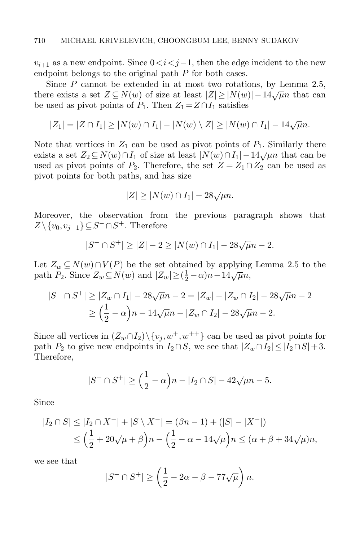$v_{i+1}$  as a new endpoint. Since  $0 < i < j-1$ , then the edge incident to the new endpoint belongs to the original path P for both cases.

Since P cannot be extended in at most two rotations, by Lemma [2.5,](#page-7-0) there exists a set  $Z \subseteq N(w)$  of size at least  $|Z| \geq |N(w)| - 14\sqrt{\mu}n$  that can be used as pivot points of  $P_1$ . Then  $Z_1 = Z \cap I_1$  satisfies

$$
|Z_1| = |Z \cap I_1| \ge |N(w) \cap I_1| - |N(w) \setminus Z| \ge |N(w) \cap I_1| - 14\sqrt{\mu}n.
$$

Note that vertices in  $Z_1$  can be used as pivot points of  $P_1$ . Similarly there exists a set  $Z_2 \subseteq N(w) \cap I_1$  of size at least  $|N(w) \cap I_1| - 14\sqrt{\mu}n$  that can be used as pivot points of  $P_2$ . Therefore, the set  $Z = Z_1 \cap Z_2$  can be used as pivot points for both paths, and has size

$$
|Z| \ge |N(w) \cap I_1| - 28\sqrt{\mu}n.
$$

Moreover, the observation from the previous paragraph shows that  $Z \setminus \{v_0, v_{j-1}\} \subseteq S^- \cap S^+$ . Therefore

$$
|S^- \cap S^+| \ge |Z| - 2 \ge |N(w) \cap I_1| - 28\sqrt{\mu}n - 2.
$$

Let  $Z_w \subseteq N(w) \cap V(P)$  be the set obtained by applying Lemma [2.5](#page-7-0) to the path  $P_2$ . Since  $Z_w \subseteq N(w)$  and  $|Z_w| \geq (\frac{1}{2} - \alpha)n - 14\sqrt{\mu}n$ ,

$$
|S^{-} \cap S^{+}| \ge |Z_{w} \cap I_{1}| - 28\sqrt{\mu}n - 2 = |Z_{w}| - |Z_{w} \cap I_{2}| - 28\sqrt{\mu}n - 2
$$
  
 
$$
\ge \left(\frac{1}{2} - \alpha\right)n - 14\sqrt{\mu}n - |Z_{w} \cap I_{2}| - 28\sqrt{\mu}n - 2.
$$

Since all vertices in  $(Z_w \cap I_2) \setminus \{v_j, w^+, w^{++}\}\)$  can be used as pivot points for path  $P_2$  to give new endpoints in  $I_2 \cap S$ , we see that  $|Z_w \cap I_2| \leq |I_2 \cap S| + 3$ . Therefore,

$$
|S^- \cap S^+| \ge \left(\frac{1}{2} - \alpha\right)n - |I_2 \cap S| - 42\sqrt{\mu}n - 5.
$$

Since

$$
|I_2 \cap S| \le |I_2 \cap X^-| + |S \setminus X^-| = (\beta n - 1) + (|S| - |X^-|)
$$
  
\$\le \left(\frac{1}{2} + 20\sqrt{\mu} + \beta\right)n - \left(\frac{1}{2} - \alpha - 14\sqrt{\mu}\right)n \le (\alpha + \beta + 34\sqrt{\mu})n\$,

we see that

$$
|S^- \cap S^+| \ge \left(\frac{1}{2} - 2\alpha - \beta - 77\sqrt{\mu}\right)n.
$$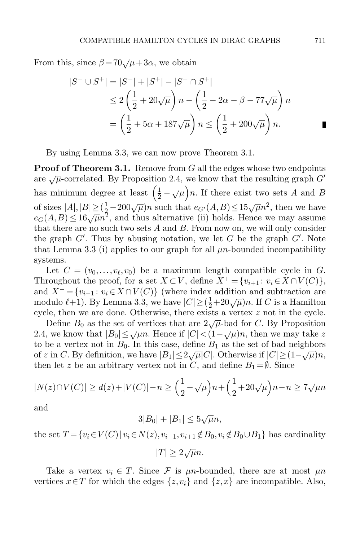From this, since  $\beta = 70\sqrt{\mu} + 3\alpha$ , we obtain

$$
|S^{-} \cup S^{+}| = |S^{-}| + |S^{+}| - |S^{-} \cap S^{+}|
$$
  
\n
$$
\leq 2\left(\frac{1}{2} + 20\sqrt{\mu}\right)n - \left(\frac{1}{2} - 2\alpha - \beta - 77\sqrt{\mu}\right)n
$$
  
\n
$$
= \left(\frac{1}{2} + 5\alpha + 187\sqrt{\mu}\right)n \leq \left(\frac{1}{2} + 200\sqrt{\mu}\right)n.
$$

By using Lemma [3.3,](#page-9-0) we can now prove Theorem [3.1.](#page-8-1)

**Proof of Theorem [3.1.](#page-8-1)** Remove from  $G$  all the edges whose two endpoints are  $\sqrt{\mu}$ -correlated. By Proposition [2.4,](#page-6-0) we know that the resulting graph  $G'$ has minimum degree at least  $\left(\frac{1}{2} - \sqrt{\mu}\right)n$ . If there exist two sets A and B of sizes  $|A|, |B| \geq (\frac{1}{3} - 200\sqrt{\mu})n$  such that  $e_{G'}(A, B) \leq 15\sqrt{\mu}n^2$ , then we have  $e_G(A,B) \leq 16\sqrt{\mu}n^2$ , and thus alternative (ii) holds. Hence we may assume that there are no such two sets  $A$  and  $B$ . From now on, we will only consider the graph  $G'$ . Thus by abusing notation, we let G be the graph  $G'$ . Note that Lemma [3.3](#page-9-0) (i) applies to our graph for all  $\mu$ n-bounded incompatibility systems.

Let  $C = (v_0, \ldots, v_\ell, v_0)$  be a maximum length compatible cycle in G. Throughout the proof, for a set  $X \subset V$ , define  $X^+ = \{v_{i+1} : v_i \in X \cap V(C)\},$ and  $X^-$  = { $v_{i-1}: v_i \in X \cap V(C)$ } (where index addition and subtraction are modulo  $\ell+1$ ). By Lemma [3.3,](#page-9-0) we have  $|C| \geq (\frac{1}{2}+20\sqrt{\mu})n$ . If C is a Hamilton cycle, then we are done. Otherwise, there exists a vertex z not in the cycle.

Define  $B_0$  as the set of vertices that are  $2\sqrt{\mu}$ -bad for C. By Proposition [2.4,](#page-6-0) we know that  $|B_0| \le \sqrt{\mu}n$ . Hence if  $|C| < (1 - \sqrt{\mu})n$ , then we may take z to be a vertex not in  $B_0$ . In this case, define  $B_1$  as the set of bad neighbors of z in C. By definition, we have  $|B_1| \le 2\sqrt{\mu}|C|$ . Otherwise if  $|C| \ge (1-\sqrt{\mu})n$ , then let z be an arbitrary vertex not in C, and define  $B_1 = \emptyset$ . Since

$$
|N(z) \cap V(C)| \ge d(z) + |V(C)| - n \ge \left(\frac{1}{2} - \sqrt{\mu}\right)n + \left(\frac{1}{2} + 20\sqrt{\mu}\right)n - n \ge 7\sqrt{\mu}n
$$

and

$$
3|B_0|+|B_1|\leq 5\sqrt{\mu}n,
$$

the set  $T = \{v_i \in V(C) | v_i \in N(z), v_{i-1}, v_{i+1} \notin B_0, v_i \notin B_0 \cup B_1\}$  has cardinality

 $|T| \geq 2\sqrt{\mu}n$ .

Take a vertex  $v_i \in T$ . Since F is  $\mu n$ -bounded, there are at most  $\mu n$ vertices  $x \in T$  for which the edges  $\{z, v_i\}$  and  $\{z, x\}$  are incompatible. Also,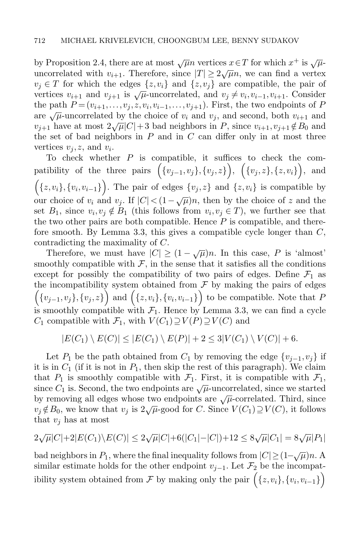by Proposition [2.4,](#page-6-0) there are at most  $\sqrt{\mu}n$  vertices  $x \in T$  for which  $x^+$  is  $\sqrt{\mu}$ uncorrelated with  $v_{i+1}$ . Therefore, since  $|T| \ge 2\sqrt{\mu}n$ , we can find a vertex  $v_i \in T$  for which the edges  $\{z, v_i\}$  and  $\{z, v_j\}$  are compatible, the pair of vertices  $v_{i+1}$  and  $v_{j+1}$  is  $\sqrt{\mu}$ -uncorrelated, and  $v_j \neq v_i, v_{i-1}, v_{i+1}$ . Consider the path  $P = (v_{i+1}, \ldots, v_j, z, v_i, v_{i-1}, \ldots, v_{j+1})$ . First, the two endpoints of P are  $\sqrt{\mu}$ -uncorrelated by the choice of  $v_i$  and  $v_j$ , and second, both  $v_{i+1}$  and  $v_{i+1}$  have at most  $2\sqrt{\mu}|C|+3$  bad neighbors in P, since  $v_{i+1}, v_{i+1} \notin B_0$  and the set of bad neighbors in  $P$  and in  $C$  can differ only in at most three vertices  $v_j, z$ , and  $v_i$ .

To check whether  $P$  is compatible, it suffices to check the compatibility of the three pairs  $(\{v_{j-1}, v_j\}, \{v_j, z\})$ ,  $(\{v_j, z\}, \{z, v_i\})$ , and  $(x, v_i), \{v_i, v_{i-1}\}\right)$ . The pair of edges  $\{v_j, z\}$  and  $\{z, v_i\}$  is compatible by our choice of  $v_i$  and  $v_j$ . If  $|C| < (1 - \sqrt{\mu})n$ , then by the choice of z and the set  $B_1$ , since  $v_i, v_j \notin B_1$  (this follows from  $v_i, v_j \in T$ ), we further see that the two other pairs are both compatible. Hence  $P$  is compatible, and there-fore smooth. By Lemma [3.3,](#page-9-0) this gives a compatible cycle longer than  $C$ , contradicting the maximality of C.

Therefore, we must have  $|C| \ge (1 - \sqrt{\mu})n$ . In this case, P is 'almost' smoothly compatible with  $\mathcal{F}$ , in the sense that it satisfies all the conditions except for possibly the compatibility of two pairs of edges. Define  $\mathcal{F}_1$  as the incompatibility system obtained from  $\mathcal F$  by making the pairs of edges  $(\{v_{j-1}, v_j\}, \{v_j, z\})$  and  $(\{z, v_i\}, \{v_i, v_{i-1}\})$  to be compatible. Note that P is smoothly compatible with  $\mathcal{F}_1$ . Hence by Lemma [3.3,](#page-9-0) we can find a cycle  $C_1$  compatible with  $\mathcal{F}_1$ , with  $V(C_1) \supseteq V(P) \supseteq V(C)$  and

$$
|E(C_1) \setminus E(C)| \le |E(C_1) \setminus E(P)| + 2 \le 3|V(C_1) \setminus V(C)| + 6.
$$

Let  $P_1$  be the path obtained from  $C_1$  by removing the edge  $\{v_{i-1}, v_i\}$  if it is in  $C_1$  (if it is not in  $P_1$ , then skip the rest of this paragraph). We claim that  $P_1$  is smoothly compatible with  $\mathcal{F}_1$ . First, it is compatible with  $\mathcal{F}_1$ , since  $C_1$  is. Second, the two endpoints are  $\sqrt{\mu}$ -uncorrelated, since we started by removing all edges whose two endpoints are  $\sqrt{\mu}$ -correlated. Third, since  $v_j \notin B_0$ , we know that  $v_j$  is  $2\sqrt{\mu}$ -good for C. Since  $V(C_1) \supseteq V(C)$ , it follows that  $v_i$  has at most

$$
2\sqrt{\mu}|C| + 2|E(C_1)\setminus E(C)| \le 2\sqrt{\mu}|C| + 6(|C_1| - |C|) + 12 \le 8\sqrt{\mu}|C_1| = 8\sqrt{\mu}|P_1|
$$

bad neighbors in  $P_1$ , where the final inequality follows from  $|C| \geq (1 - \sqrt{\mu})n$ . A similar estimate holds for the other endpoint  $v_{j-1}$ . Let  $\mathcal{F}_2$  be the incompatibility system obtained from  $\mathcal F$  by making only the pair  $\Big(\{z, v_i\}, \{v_i, v_{i-1}\}\Big)$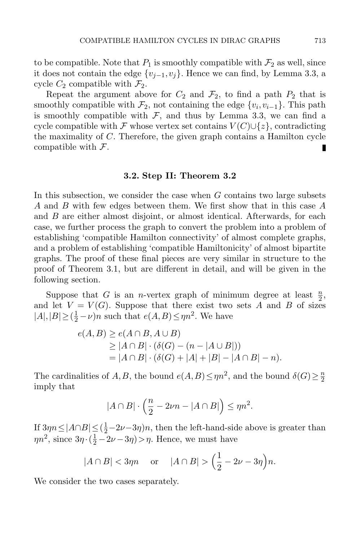to be compatible. Note that  $P_1$  is smoothly compatible with  $\mathcal{F}_2$  as well, since it does not contain the edge  $\{v_{j-1}, v_j\}$ . Hence we can find, by Lemma [3.3,](#page-9-0) a cycle  $C_2$  compatible with  $\mathcal{F}_2$ .

Repeat the argument above for  $C_2$  and  $\mathcal{F}_2$ , to find a path  $P_2$  that is smoothly compatible with  $\mathcal{F}_2$ , not containing the edge  $\{v_i, v_{i-1}\}$ . This path is smoothly compatible with  $F$ , and thus by Lemma [3.3,](#page-9-0) we can find a cycle compatible with F whose vertex set contains  $V(C) \cup \{z\}$ , contradicting the maximality of C. Therefore, the given graph contains a Hamilton cycle compatible with  $\mathcal{F}$ .

#### 3.2. Step II: Theorem [3.2](#page-9-1)

In this subsection, we consider the case when  $G$  contains two large subsets A and B with few edges between them. We first show that in this case A and B are either almost disjoint, or almost identical. Afterwards, for each case, we further process the graph to convert the problem into a problem of establishing 'compatible Hamilton connectivity' of almost complete graphs, and a problem of establishing 'compatible Hamiltonicity' of almost bipartite graphs. The proof of these final pieces are very similar in structure to the proof of Theorem [3.1,](#page-8-1) but are different in detail, and will be given in the following section.

Suppose that G is an *n*-vertex graph of minimum degree at least  $\frac{n}{2}$ , and let  $V = V(G)$ . Suppose that there exist two sets A and B of sizes  $|A|, |B| \geq (\frac{1}{2} - \nu)n$  such that  $e(A, B) \leq \eta n^2$ . We have

$$
e(A, B) \ge e(A \cap B, A \cup B)
$$
  
\n
$$
\ge |A \cap B| \cdot (\delta(G) - (n - |A \cup B|))
$$
  
\n
$$
= |A \cap B| \cdot (\delta(G) + |A| + |B| - |A \cap B| - n).
$$

The cardinalities of A, B, the bound  $e(A, B) \leq \eta n^2$ , and the bound  $\delta(G) \geq \frac{n}{2}$ 2 imply that

$$
|A \cap B| \cdot \left(\frac{n}{2} - 2\nu n - |A \cap B|\right) \le \eta n^2.
$$

If  $3\eta n \leq |A \cap B| \leq (\frac{1}{2} - 2\nu - 3\eta)n$ , then the left-hand-side above is greater than  $\eta n^2$ , since  $3\eta \cdot (\frac{1}{2} - 2\nu - 3\eta) > \eta$ . Hence, we must have

$$
|A \cap B| < 3\eta n \quad \text{or} \quad |A \cap B| > \Big(\frac{1}{2} - 2\nu - 3\eta\Big)n.
$$

We consider the two cases separately.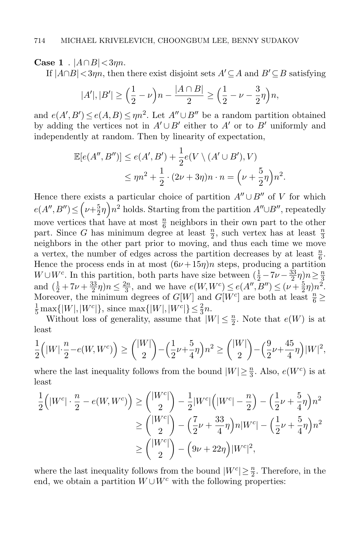**Case 1** .  $|A \cap B| < 3\eta n$ .

If  $|A \cap B| < 3\eta n$ , then there exist disjoint sets  $A' \subseteq A$  and  $B' \subseteq B$  satisfying

$$
|A'|, |B'| \ge \left(\frac{1}{2} - \nu\right)n - \frac{|A \cap B|}{2} \ge \left(\frac{1}{2} - \nu - \frac{3}{2}\eta\right)n,
$$

and  $e(A', B') \le e(A, B) \le \eta n^2$ . Let  $A'' \cup B''$  be a random partition obtained by adding the vertices not in  $A' \cup B'$  either to  $A'$  or to  $B'$  uniformly and independently at random. Then by linearity of expectation,

$$
\mathbb{E}[e(A'',B'')] \le e(A',B') + \frac{1}{2}e(V \setminus (A' \cup B'), V)
$$
  

$$
\le \eta n^2 + \frac{1}{2} \cdot (2\nu + 3\eta)n \cdot n = \left(\nu + \frac{5}{2}\eta\right)n^2.
$$

Hence there exists a particular choice of partition  $A'' \cup B''$  of V for which  $e(A'',B'') \le ( \nu + \frac{5}{2})$  $(\frac{5}{2}\eta) n^2$  holds. Starting from the partition  $A'' \cup B''$ , repeatedly move vertices that have at most  $\frac{n}{6}$  neighbors in their own part to the other part. Since G has minimum degree at least  $\frac{n}{2}$ , such vertex has at least  $\frac{n}{3}$ neighbors in the other part prior to moving, and thus each time we move a vertex, the number of edges across the partition decreases by at least  $\frac{n}{6}$ . Hence the process ends in at most  $(6\nu+15\eta)n$  steps, producing a partition  $W \cup W^c$ . In this partition, both parts have size between  $(\frac{1}{2} - 7\nu - \frac{33}{2})$  $\frac{33}{2}\eta\big)n \geq \frac{n}{3}$  $\frac{3}{2}$ and  $(\frac{1}{2} + 7\nu + \frac{33}{2})$  $\frac{33}{2}\eta$ ) $n \leq \frac{2n}{3}$  $\frac{2n}{3}$ , and we have  $e(W, W^c) \leq e(A'', B'') \leq (\nu + \frac{5}{2})$  $(\frac{5}{2}\eta)n^2$ . Moreover, the minimum degrees of  $G[W]$  and  $G[W<sup>c</sup>]$  are both at least  $\frac{n}{6} \ge$  $\frac{1}{5} \max\{|W|, |W^c|\},\$  since  $\max\{|W|, |W^c|\} \leq \frac{2}{3}n$ .

Without loss of generality, assume that  $|W| \leq \frac{n}{2}$ . Note that  $e(W)$  is at least

$$
\frac{1}{2}(|W|\cdot\frac{n}{2}-e(W,W^c)|) \geq {\binom{|W|}{2}} - {\binom{1}{2}\nu+\frac{5}{4}\eta}n^2 \geq {\binom{|W|}{2}} - {\binom{9}{2}\nu+\frac{45}{4}\eta} |W|^2,
$$

where the last inequality follows from the bound  $|W| \geq \frac{n}{3}$ . Also,  $e(W^c)$  is at least

$$
\frac{1}{2} \Big( |W^c| \cdot \frac{n}{2} - e(W, W^c) \Big) \ge \binom{|W^c|}{2} - \frac{1}{2} |W^c| \Big( |W^c| - \frac{n}{2} \Big) - \Big( \frac{1}{2} \nu + \frac{5}{4} \eta \Big) n^2
$$
  
\n
$$
\ge \binom{|W^c|}{2} - \Big( \frac{7}{2} \nu + \frac{33}{4} \eta \Big) n |W^c| - \Big( \frac{1}{2} \nu + \frac{5}{4} \eta \Big) n^2
$$
  
\n
$$
\ge \binom{|W^c|}{2} - \Big( 9\nu + 22\eta \Big) |W^c|^2,
$$

where the last inequality follows from the bound  $|W^c| \geq \frac{n}{2}$ . Therefore, in the end, we obtain a partition  $W\cup W^c$  with the following properties: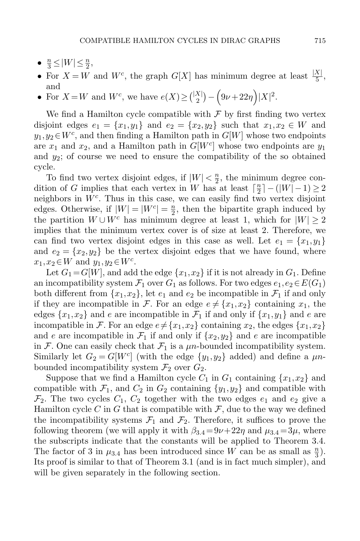- $\frac{n}{3} \leq |W| \leq \frac{n}{2}$ ,
- For  $X = W$  and  $W^c$ , the graph  $G[X]$  has minimum degree at least  $\frac{|X|}{5}$ , and
- For  $X = W$  and  $W^c$ , we have  $e(X) \geq {\binom{|X|}{2}} \left(9\nu + 22\eta\right)|X|^2$ .

We find a Hamilton cycle compatible with  $\mathcal F$  by first finding two vertex disjoint edges  $e_1 = \{x_1, y_1\}$  and  $e_2 = \{x_2, y_2\}$  such that  $x_1, x_2 \in W$  and  $y_1, y_2 \in W^c$ , and then finding a Hamilton path in  $G[W]$  whose two endpoints are  $x_1$  and  $x_2$ , and a Hamilton path in  $G[W<sup>c</sup>]$  whose two endpoints are  $y_1$ and  $y_2$ ; of course we need to ensure the compatibility of the so obtained cycle.

To find two vertex disjoint edges, if  $|W| < \frac{n}{2}$  $\frac{n}{2}$ , the minimum degree condition of G implies that each vertex in W has at least  $\lceil \frac{n}{2} \rceil$  $\frac{n}{2}$ ] – (|W| – 1)  $\geq 2$ neighbors in  $W<sup>c</sup>$ . Thus in this case, we can easily find two vertex disjoint edges. Otherwise, if  $|W| = |W^c| = \frac{n}{2}$  $\frac{n}{2}$ , then the bipartite graph induced by the partition  $W \cup W^c$  has minimum degree at least 1, which for  $|W| \geq 2$ implies that the minimum vertex cover is of size at least 2. Therefore, we can find two vertex disjoint edges in this case as well. Let  $e_1 = \{x_1, y_1\}$ and  $e_2 = \{x_2, y_2\}$  be the vertex disjoint edges that we have found, where  $x_1, x_2 \in W$  and  $y_1, y_2 \in W^c$ .

Let  $G_1 = G[W]$ , and add the edge  $\{x_1, x_2\}$  if it is not already in  $G_1$ . Define an incompatibility system  $\mathcal{F}_1$  over  $G_1$  as follows. For two edges  $e_1, e_2 \in E(G_1)$ both different from  $\{x_1, x_2\}$ , let  $e_1$  and  $e_2$  be incompatible in  $\mathcal{F}_1$  if and only if they are incompatible in F. For an edge  $e \neq \{x_1, x_2\}$  containing  $x_1$ , the edges  $\{x_1, x_2\}$  and e are incompatible in  $\mathcal{F}_1$  if and only if  $\{x_1, y_1\}$  and e are incompatible in F. For an edge  $e \neq \{x_1,x_2\}$  containing  $x_2$ , the edges  $\{x_1,x_2\}$ and e are incompatible in  $\mathcal{F}_1$  if and only if  $\{x_2,y_2\}$  and e are incompatible in F. One can easily check that  $\mathcal{F}_1$  is a  $\mu$ n-bounded incompatibility system. Similarly let  $G_2 = G[W^c]$  (with the edge  $\{y_1, y_2\}$  added) and define a  $\mu n$ bounded incompatibility system  $\mathcal{F}_2$  over  $G_2$ .

<span id="page-18-0"></span>Suppose that we find a Hamilton cycle  $C_1$  in  $G_1$  containing  $\{x_1, x_2\}$  and compatible with  $\mathcal{F}_1$ , and  $C_2$  in  $G_2$  containing  $\{y_1,y_2\}$  and compatible with  $\mathcal{F}_2$ . The two cycles  $C_1, C_2$  together with the two edges  $e_1$  and  $e_2$  give a Hamilton cycle C in G that is compatible with  $\mathcal{F}$ , due to the way we defined the incompatibility systems  $\mathcal{F}_1$  and  $\mathcal{F}_2$ . Therefore, it suffices to prove the following theorem (we will apply it with  $\beta_{3.4} = 9\nu + 22\eta$  $\beta_{3.4} = 9\nu + 22\eta$  $\beta_{3.4} = 9\nu + 22\eta$  and  $\mu_{3.4} = 3\mu$ , where the subscripts indicate that the constants will be applied to Theorem [3.4.](#page-18-0) The factor of [3](#page-18-0) in  $\mu_{3,4}$  has been introduced since W can be as small as  $\frac{n}{3}$ . Its proof is similar to that of Theorem [3.1](#page-8-1) (and is in fact much simpler), and will be given separately in the following section.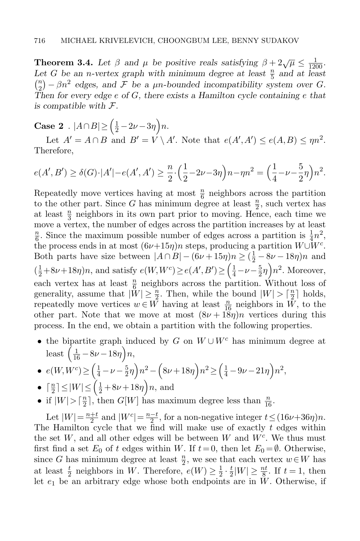**Theorem 3.4.** Let  $\beta$  and  $\mu$  be positive reals satisfying  $\beta + 2\sqrt{\mu} \le \frac{1}{1200}$ . Let G be an *n*-vertex graph with minimum degree at least  $\frac{n}{5}$  and at least  $\binom{n}{2}$  $\binom{n}{2} - \beta n^2$  edges, and F be a  $\mu$ n-bounded incompatibility system over G. Then for every edge  $e$  of  $G$ , there exists a Hamilton cycle containing  $e$  that is compatible with  $\mathcal{F}.$ 

**Case 2** .  $|A \cap B| \geq \left(\frac{1}{2} - 2\nu - 3\eta\right)n$ .

Let  $A' = A \cap B$  and  $B' = V \setminus A'$ . Note that  $e(A', A') \le e(A, B) \le \eta n^2$ . Therefore,

$$
e(A', B') \ge \delta(G) \cdot |A'| - e(A', A') \ge \frac{n}{2} \cdot \left(\frac{1}{2} - 2\nu - 3\eta\right) n - \eta n^2 = \left(\frac{1}{4} - \nu - \frac{5}{2}\eta\right) n^2.
$$

Repeatedly move vertices having at most  $\frac{n}{6}$  neighbors across the partition to the other part. Since G has minimum degree at least  $\frac{n}{2}$ , such vertex has at least  $\frac{n}{3}$  neighbors in its own part prior to moving. Hence, each time we move a vertex, the number of edges across the partition increases by at least  $\overline{\mathbf{n}}$  $\frac{n}{6}$ . Since the maximum possible number of edges across a partition is  $\frac{1}{4}n^2$ , the process ends in at most  $(6\nu+15\eta)n$  steps, producing a partition  $W\cup \bar{W}^c$ . Both parts have size between  $|A \cap B| - (6\nu + 15\eta)n \ge (\frac{1}{2} - 8\nu - 18\eta)n$  and  $\left(\frac{1}{2} + 8\nu + 18\eta\right)n$ , and satisfy  $e(W, W^c) \ge e(A', B') \ge \left(\frac{1}{4} - \nu - \frac{5}{2}\right)$  $(\frac{5}{2}\eta\right) n^2$ . Moreover, each vertex has at least  $\frac{n}{6}$  neighbors across the partition. Without loss of generality, assume that  $|\tilde{W}| \geq \frac{n}{2}$ . Then, while the bound  $|W| > \left[\frac{n}{2}\right]$  $\frac{n}{2}$  holds, repeatedly move vertices  $w \in W$  having at least  $\frac{n}{16}$  neighbors in  $\bar{W}$ , to the other part. Note that we move at most  $(8\nu + 18\eta)n$  vertices during this process. In the end, we obtain a partition with the following properties.

• the bipartite graph induced by G on  $W \cup W^c$  has minimum degree at least  $\left(\frac{1}{16} - 8\nu - 18\eta\right)n$ ,

• 
$$
e(W, W^c) \geq \left(\frac{1}{4} - \nu - \frac{5}{2}\eta\right)n^2 - \left(8\nu + 18\eta\right)n^2 \geq \left(\frac{1}{4} - 9\nu - 21\eta\right)n^2
$$

• 
$$
\lceil \frac{n}{2} \rceil \le |W| \le \left(\frac{1}{2} + 8\nu + 18\eta\right)n
$$
, and

• if  $|W| > \lceil \frac{n}{2} \rceil$  $\frac{n}{2}$ , then  $G[W]$  has maximum degree less than  $\frac{n}{16}$ .

Let  $|W| = \frac{n+t}{2}$  $\frac{+t}{2}$  and  $|W^c| = \frac{n-t}{2}$ , for a non-negative integer  $t \leq (16\nu + 36\eta)n$ . The Hamilton cycle that we find will make use of exactly  $t$  edges within the set  $W$ , and all other edges will be between  $W$  and  $W<sup>c</sup>$ . We thus must first find a set  $E_0$  of t edges within W. If  $t=0$ , then let  $E_0 = \emptyset$ . Otherwise, since G has minimum degree at least  $\frac{n}{2}$ , we see that each vertex  $w \in W$  has at least  $\frac{t}{2}$  neighbors in W. Therefore,  $e(W) \geq \frac{1}{2}$  $rac{1}{2} \cdot \frac{t}{2}$  $\frac{t}{2}|W| \geq \frac{nt}{8}$ . If  $t = 1$ , then let  $e_1$  be an arbitrary edge whose both endpoints are in W. Otherwise, if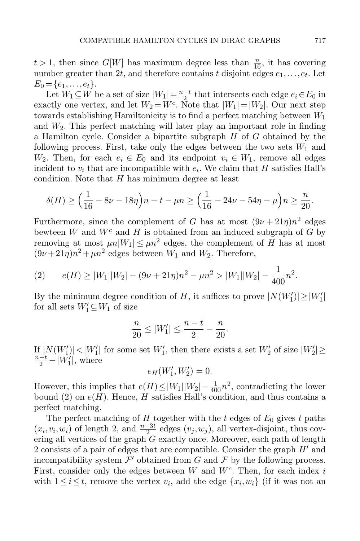$t > 1$ , then since  $G[W]$  has maximum degree less than  $\frac{n}{16}$ , it has covering number greater than 2t, and therefore contains t disjoint edges  $e_1, \ldots, e_t$ . Let  $E_0 = \{e_1, \ldots, e_t\}.$ 

Let  $W_1 \subseteq W$  be a set of size  $|W_1| = \frac{n-t}{2}$  that intersects each edge  $e_i \in E_0$  in exactly one vertex, and let  $W_2 = W^c$ . Note that  $|W_1| = |W_2|$ . Our next step towards establishing Hamiltonicity is to find a perfect matching between  $W_1$ and  $W_2$ . This perfect matching will later play an important role in finding a Hamilton cycle. Consider a bipartite subgraph  $H$  of  $G$  obtained by the following process. First, take only the edges between the two sets  $W_1$  and  $W_2$ . Then, for each  $e_i \in E_0$  and its endpoint  $v_i \in W_1$ , remove all edges incident to  $v_i$  that are incompatible with  $e_i$ . We claim that H satisfies Hall's condition. Note that  $H$  has minimum degree at least

$$
\delta(H) \ge \left(\frac{1}{16} - 8\nu - 18\eta\right)n - t - \mu n \ge \left(\frac{1}{16} - 24\nu - 54\eta - \mu\right)n \ge \frac{n}{20}.
$$

Furthermore, since the complement of G has at most  $(9\nu + 21\eta)n^2$  edges bewteen  $W$  and  $W<sup>c</sup>$  and  $H$  is obtained from an induced subgraph of  $G$  by removing at most  $\mu n |W_1| \leq \mu n^2$  edges, the complement of H has at most  $(9\nu+21\eta)n^2+\mu n^2$  edges between  $W_1$  and  $W_2$ . Therefore,

<span id="page-20-0"></span>(2) 
$$
e(H) \ge |W_1||W_2| - (9\nu + 21\eta)n^2 - \mu n^2 > |W_1||W_2| - \frac{1}{400}n^2
$$
.

By the minimum degree condition of H, it suffices to prove  $|N(W'_1)| \ge |W'_1|$ for all sets  $W'_1 \subseteq W_1$  of size

$$
\frac{n}{20} \le |W_1'| \le \frac{n-t}{2} - \frac{n}{20}.
$$

If  $|N(W_1')|$   $\lt |W_1'|$  for some set  $W_1'$ , then there exists a set  $W_2'$  of size  $|W_2'|$   $\ge$  $\frac{n-t}{2} - |W_1'|$ , where

$$
e_H(W_1', W_2') = 0.
$$

However, this implies that  $e(H) \leq |W_1||W_2| - \frac{1}{400}n^2$ , contradicting the lower bound [\(2\)](#page-20-0) on  $e(H)$ . Hence, H satisfies Hall's condition, and thus contains a perfect matching.

The perfect matching of H together with the t edges of  $E_0$  gives t paths  $(x_i, v_i, w_i)$  of length 2, and  $\frac{n-3t}{2}$  edges  $(v_j, w_j)$ , all vertex-disjoint, thus covering all vertices of the graph  $G$  exactly once. Moreover, each path of length 2 consists of a pair of edges that are compatible. Consider the graph  $H'$  and incompatibility system  $\mathcal{F}'$  obtained from G and F by the following process. First, consider only the edges between  $W$  and  $W<sup>c</sup>$ . Then, for each index i with  $1 \leq i \leq t$ , remove the vertex  $v_i$ , add the edge  $\{x_i, w_i\}$  (if it was not an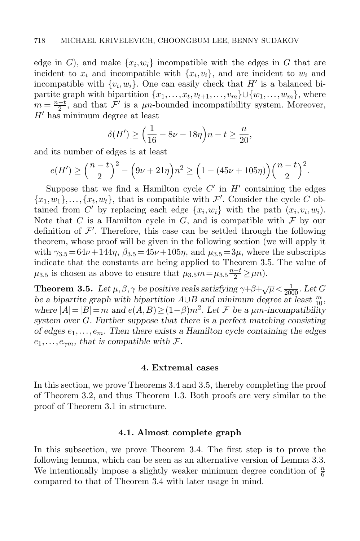edge in  $G$ ), and make  $\{x_i, w_i\}$  incompatible with the edges in  $G$  that are incident to  $x_i$  and incompatible with  $\{x_i, v_i\}$ , and are incident to  $w_i$  and incompatible with  $\{v_i, w_i\}$ . One can easily check that  $H'$  is a balanced bipartite graph with bipartition  $\{x_1, \ldots, x_t, v_{t+1}, \ldots, v_m\} \cup \{w_1, \ldots, w_m\}$ , where  $m = \frac{n-t}{2}$ , and that  $\mathcal{F}'$  is a  $\mu$ n-bounded incompatibility system. Moreover,  $H'$  has minimum degree at least

$$
\delta(H') \ge \left(\frac{1}{16} - 8\nu - 18\eta\right)n - t \ge \frac{n}{20},
$$

and its number of edges is at least

$$
e(H') \ge \left(\frac{n-t}{2}\right)^2 - \left(9\nu + 21\eta\right)n^2 \ge \left(1 - (45\nu + 105\eta)\right)\left(\frac{n-t}{2}\right)^2.
$$

Suppose that we find a Hamilton cycle  $C'$  in  $H'$  containing the edges  ${x_1, w_1}, \ldots, {x_t, w_t}$ , that is compatible with  $\mathcal{F}'$ . Consider the cycle C obtained from C' by replacing each edge  $\{x_i, w_i\}$  with the path  $(x_i, v_i, w_i)$ . Note that C is a Hamilton cycle in G, and is compatible with  $\mathcal F$  by our definition of  $\mathcal{F}'$ . Therefore, this case can be settled through the following theorem, whose proof will be given in the following section (we will apply it with  $\gamma_{3.5} = 64\nu + 144\eta$  $\gamma_{3.5} = 64\nu + 144\eta$  $\gamma_{3.5} = 64\nu + 144\eta$ ,  $\beta_{3.5} = 45\nu + 105\eta$ , and  $\mu_{3.5} = 3\mu$ , where the subscripts indicate that the constants are being applied to Theorem [3.5.](#page-21-1) The value of  $\mu_{3.5}$  $\mu_{3.5}$  $\mu_{3.5}$  is chosen as above to ensure that  $\mu_{3.5} m = \mu_{3.5} \frac{n-t}{2} \ge \mu n$ .

<span id="page-21-1"></span>**Theorem 3.5.** Let  $\mu, \beta, \gamma$  be positive reals satisfying  $\gamma + \beta + \sqrt{\mu} < \frac{1}{2000}$ . Let G be a bipartite graph with bipartition  $A \cup B$  and minimum degree at least  $\frac{m}{10}$ , where  $|A| = |B| = m$  and  $e(A, B) \ge (1 - \beta)m^2$ . Let F be a  $\mu$ m-incompatibility system over G. Further suppose that there is a perfect matching consisting of edges  $e_1, \ldots, e_m$ . Then there exists a Hamilton cycle containing the edges  $e_1,\ldots,e_{\gamma m}$ , that is compatible with  $\mathcal{F}.$ 

#### 4. Extremal cases

<span id="page-21-0"></span>In this section, we prove Theorems [3.4](#page-18-0) and [3.5,](#page-21-1) thereby completing the proof of Theorem [3.2,](#page-9-1) and thus Theorem [1.3.](#page-2-1) Both proofs are very similar to the proof of Theorem [3.1](#page-8-1) in structure.

#### 4.1. Almost complete graph

<span id="page-21-2"></span>In this subsection, we prove Theorem [3.4.](#page-18-0) The first step is to prove the following lemma, which can be seen as an alternative version of Lemma [3.3.](#page-9-0) We intentionally impose a slightly weaker minimum degree condition of  $\frac{n}{6}$ compared to that of Theorem [3.4](#page-18-0) with later usage in mind.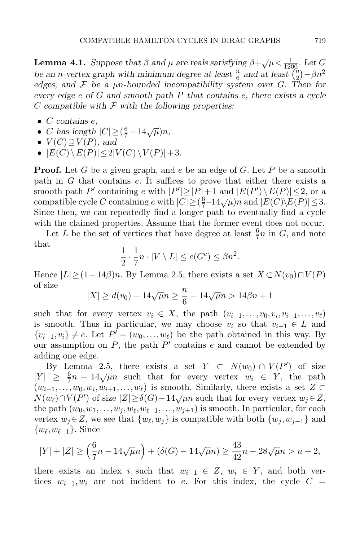**Lemma 4.1.** Suppose that  $\beta$  and  $\mu$  are reals satisfying  $\beta + \sqrt{\mu} < \frac{1}{1200}$ . Let G be an n-vertex graph with minimum degree at least  $\frac{n}{6}$  and at least  $\left(\frac{n}{2}\right)$  $\binom{n}{2}$  –  $\beta n^2$ edges, and  $\mathcal F$  be a  $\mu$ n-bounded incompatibility system over G. Then for every edge e of G and smooth path P that contains e, there exists a cycle C compatible with  $\mathcal F$  with the following properties:

- $\bullet$  C contains  $e$ ,
- C contains c,<br>• C has length  $|C| \geq (\frac{6}{7} 14\sqrt{\mu})n$ ,
- $V(C) \supseteq V(P)$ , and
- $|E(C)\setminus E(P)| \leq 2|V(C)\setminus V(P)|+3.$

**Proof.** Let G be a given graph, and e be an edge of G. Let P be a smooth path in G that contains e. It suffices to prove that either there exists a smooth path P' containing e with  $|P'| \geq |P|+1$  and  $|E(P') \setminus E(P)| \leq 2$ , or a smooth path 1 containing e with  $|P| \geq |P| + 1$  and  $|P(P| \geq R) \geq 2$ , or a<br>compatible cycle C containing e with  $|C| \geq (\frac{6}{7}-14\sqrt{\mu})n$  and  $|E(C)|\geq 2$ . Since then, we can repeatedly find a longer path to eventually find a cycle with the claimed properties. Assume that the former event does not occur.

Let L be the set of vertices that have degree at least  $\frac{6}{7}n$  in G, and note that

$$
\frac{1}{2} \cdot \frac{1}{7} n \cdot |V \setminus L| \le e(G^c) \le \beta n^2.
$$

Hence  $|L| \ge (1-14\beta)n$ . By Lemma [2.5,](#page-7-0) there exists a set  $X \subset N(v_0) \cap V(P)$ of size

$$
|X| \ge d(v_0) - 14\sqrt{\mu}n \ge \frac{n}{6} - 14\sqrt{\mu}n > 14\beta n + 1
$$

such that for every vertex  $v_i \in X$ , the path  $(v_{i-1},...,v_0,v_i,v_{i+1},...,v_\ell)$ is smooth. Thus in particular, we may choose  $v_i$  so that  $v_{i-1} \in L$  and  $\{v_{i-1}, v_i\} \neq e$ . Let  $P' = (w_0, \ldots, w_\ell)$  be the path obtained in this way. By our assumption on  $P$ , the path  $P'$  contains  $e$  and cannot be extended by adding one edge.

By Lemma [2.5,](#page-7-0) there exists a set  $Y \subset N(w_0) \cap V(P')$  of size  $|Y| \ge \frac{6}{7}n - 14\sqrt{\mu}n$  such that for every vertex  $w_i \in Y$ , the path  $(w_{i-1},...,w_0,w_i,w_{i+1},...,w_\ell)$  is smooth. Similarly, there exists a set  $Z \subset$  $N(w_{\ell}) \cap V(P')$  of size  $|Z| \ge \delta(G) - 14\sqrt{\mu}n$  such that for every vertex  $w_j \in Z$ , the path  $(w_0, w_1, \ldots, w_j, w_{\ell}, w_{\ell-1}, \ldots, w_{j+1})$  is smooth. In particular, for each vertex  $w_j \in Z$ , we see that  $\{w_\ell, w_j\}$  is compatible with both  $\{w_j, w_{j-1}\}$  and  $\{w_{\ell}, w_{\ell-1}\}.$  Since

$$
|Y| + |Z| \ge \left(\frac{6}{7}n - 14\sqrt{\mu}n\right) + \left(\delta(G) - 14\sqrt{\mu}n\right) \ge \frac{43}{42}n - 28\sqrt{\mu}n > n + 2,
$$

there exists an index i such that  $w_{i-1} \in Z$ ,  $w_i \in Y$ , and both vertices  $w_{i-1}, w_i$  are not incident to e. For this index, the cycle  $C =$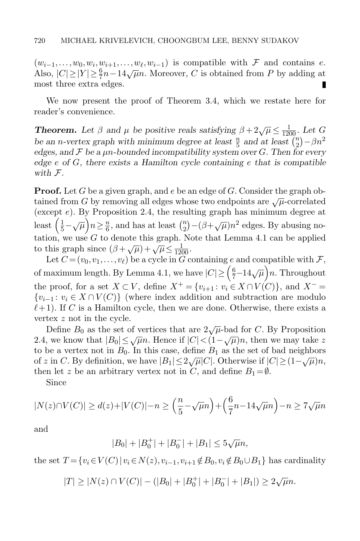$(w_{i-1},...,w_0,w_i,w_{i+1},...,w_{\ell},w_{i-1})$  is compatible with F and contains e. Also,  $|C| \ge |Y| \ge \frac{6}{7}n - 14\sqrt{\mu}n$ . Moreover, C is obtained from P by adding at most three extra edges. П

We now present the proof of Theorem [3.4,](#page-18-0) which we restate here for reader's convenience.

**Theorem.** Let  $\beta$  and  $\mu$  be positive reals satisfying  $\beta + 2\sqrt{\mu} \le \frac{1}{1200}$ . Let G be an n-vertex graph with minimum degree at least  $\frac{n}{5}$  and at least  $\left(\frac{n}{2}\right)$  $\binom{n}{2}$  –  $\beta n^2$ edges, and  $\mathcal F$  be a  $\mu$ n-bounded incompatibility system over G. Then for every edge  $e$  of  $G$ , there exists a Hamilton cycle containing  $e$  that is compatible with F.

**Proof.** Let G be a given graph, and e be an edge of G. Consider the graph obtained from G by removing all edges whose two endpoints are  $\sqrt{\mu}$ -correlated (except  $e$ ). By Proposition [2.4,](#page-6-0) the resulting graph has minimum degree at least  $\left(\frac{1}{5}-\sqrt{\mu}\right)n\geq \frac{n}{6}$  $\frac{n}{6}$ , and has at least  $\binom{n}{2}$  $\binom{n}{2} - (\beta + \sqrt{\mu})n^2$  edges. By abusing notation, we use  $G$  to denote this graph. Note that Lemma [4.1](#page-21-2) can be applied to this graph since  $(\beta + \sqrt{\mu}) + \sqrt{\mu} \le \frac{1}{1200}$ .

Let  $C = (v_0, v_1, \ldots, v_\ell)$  be a cycle in  $\widetilde{G}$  containing e and compatible with  $\mathcal{F}$ , of maximum length. By Lemma [4.1,](#page-21-2) we have  $|C| \geq (\frac{6}{7} - 14\sqrt{\mu})n$ . Throughout the proof, for a set  $X \subset V$ , define  $X^+ = \{v_{i+1} : v_i \in X \cap V(C)\}$ , and  $X^- =$  ${v_{i-1}: v_i \in X \cap V(C)}$  (where index addition and subtraction are modulo  $\ell + 1$ ). If C is a Hamilton cycle, then we are done. Otherwise, there exists a vertex z not in the cycle.

Define  $B_0$  as the set of vertices that are  $2\sqrt{\mu}$ -bad for C. By Proposition [2.4,](#page-6-0) we know that  $|B_0| \le \sqrt{\mu}n$ . Hence if  $|C| < (1 - \sqrt{\mu})n$ , then we may take z to be a vertex not in  $B_0$ . In this case, define  $B_1$  as the set of bad neighbors of z in C. By definition, we have  $|B_1| \le 2\sqrt{\mu}|C|$ . Otherwise if  $|C| \ge (1-\sqrt{\mu})n$ , then let z be an arbitrary vertex not in C, and define  $B_1 = \emptyset$ .

Since

$$
|N(z)\cap V(C)| \ge d(z) + |V(C)| - n \ge \left(\frac{n}{5} - \sqrt{\mu}n\right) + \left(\frac{6}{7}n - 14\sqrt{\mu}n\right) - n \ge 7\sqrt{\mu}n
$$

and

$$
|B_0| + |B_0^+| + |B_0^-| + |B_1| \le 5\sqrt{\mu}n,
$$

the set  $T = \{v_i \in V(C) | v_i \in N(z), v_{i-1}, v_{i+1} \notin B_0, v_i \notin B_0 \cup B_1\}$  has cardinality

$$
|T| \ge |N(z) \cap V(C)| - (|B_0| + |B_0^+| + |B_0^-| + |B_1|) \ge 2\sqrt{\mu}n.
$$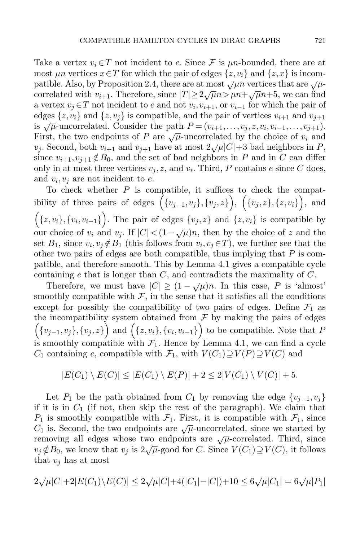Take a vertex  $v_i \in T$  not incident to e. Since F is  $\mu$ n-bounded, there are at most  $\mu n$  vertices  $x \in T$  for which the pair of edges  $\{z, v_i\}$  and  $\{z, x\}$  is incom-patible. Also, by Proposition [2.4,](#page-6-0) there are at most  $\sqrt{\mu}n$  vertices that are  $\sqrt{\mu}$ patrior. This, by I reposition 2.4, there are at most  $\sqrt{\mu n}$  vertices that are  $\sqrt{\mu}$  correlated with  $v_{i+1}$ . Therefore, since  $|T| \ge 2\sqrt{\mu n} > \mu n + \sqrt{\mu} n + 5$ , we can find a vertex  $v_j \in T$  not incident to e and not  $v_i, v_{i+1}$ , or  $v_{i-1}$  for which the pair of edges  $\{z,v_i\}$  and  $\{z,v_j\}$  is compatible, and the pair of vertices  $v_{i+1}$  and  $v_{j+1}$ is  $\sqrt{\mu}$ -uncorrelated. Consider the path  $P = (v_{i+1},...,v_j,z,v_i,v_{i-1},...,v_{j+1})$ . First, the two endpoints of P are  $\sqrt{\mu}$ -uncorrelated by the choice of  $v_i$  and  $v_j$ . Second, both  $v_{i+1}$  and  $v_{j+1}$  have at most  $2\sqrt{\mu}|C|+3$  bad neighbors in P, since  $v_{i+1}, v_{i+1} \notin B_0$ , and the set of bad neighbors in P and in C can differ only in at most three vertices  $v_j, z$ , and  $v_i$ . Third, P contains e since C does, and  $v_i, v_j$  are not incident to e.

To check whether  $P$  is compatible, it suffices to check the compatibility of three pairs of edges  $(\{v_{j-1}, v_j\}, \{v_j, z\})$ ,  $(\{v_j, z\}, \{z, v_i\})$ , and  $(x, v_i), \{v_i, v_{i-1}\}\right)$ . The pair of edges  $\{v_j, z\}$  and  $\{z, v_i\}$  is compatible by our choice of  $v_i$  and  $v_j$ . If  $|C| < (1 - \sqrt{\mu})n$ , then by the choice of z and the set  $B_1$ , since  $v_i, v_j \notin B_1$  (this follows from  $v_i, v_j \in T$ ), we further see that the other two pairs of edges are both compatible, thus implying that  $P$  is compatible, and therefore smooth. This by Lemma [4.1](#page-21-2) gives a compatible cycle containing e that is longer than  $C$ , and contradicts the maximality of  $C$ .

Therefore, we must have  $|C| \geq (1 - \sqrt{\mu})n$ . In this case, P is 'almost' smoothly compatible with  $\mathcal{F}$ , in the sense that it satisfies all the conditions except for possibly the compatibility of two pairs of edges. Define  $\mathcal{F}_1$  as the incompatibility system obtained from  $\mathcal F$  by making the pairs of edges  $(\{v_{j-1}, v_j\}, \{v_j, z\})$  and  $(\{z, v_i\}, \{v_i, v_{i-1}\})$  to be compatible. Note that P is smoothly compatible with  $\mathcal{F}_1$ . Hence by Lemma [4.1,](#page-21-2) we can find a cycle  $C_1$  containing e, compatible with  $\mathcal{F}_1$ , with  $V(C_1) \supseteq V(P) \supseteq V(C)$  and

$$
|E(C_1) \setminus E(C)| \le |E(C_1) \setminus E(P)| + 2 \le 2|V(C_1) \setminus V(C)| + 5.
$$

Let P<sub>1</sub> be the path obtained from C<sub>1</sub> by removing the edge  $\{v_{i-1}, v_i\}$ if it is in  $C_1$  (if not, then skip the rest of the paragraph). We claim that  $P_1$  is smoothly compatible with  $\mathcal{F}_1$ . First, it is compatible with  $\mathcal{F}_1$ , since  $C_1$  is. Second, the two endpoints are  $\sqrt{\mu}$ -uncorrelated, since we started by removing all edges whose two endpoints are  $\sqrt{\mu}$ -correlated. Third, since  $v_j \notin B_0$ , we know that  $v_j$  is  $2\sqrt{\mu}$ -good for C. Since  $V(C_1) \supseteq V(C)$ , it follows that  $v_i$  has at most

$$
2\sqrt{\mu}|C| + 2|E(C_1)\setminus E(C)| \le 2\sqrt{\mu}|C| + 4(|C_1| - |C|) + 10 \le 6\sqrt{\mu}|C_1| = 6\sqrt{\mu}|P_1|
$$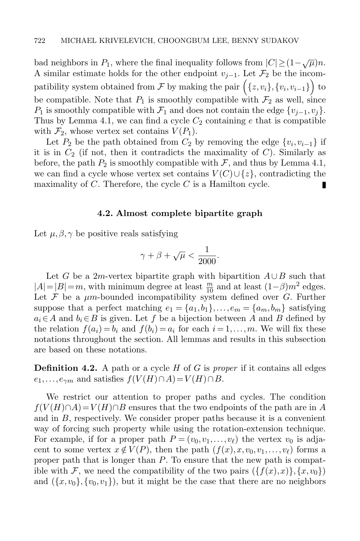bad neighbors in  $P_1$ , where the final inequality follows from  $|C| \geq (1 - \sqrt{\mu})n$ . A similar estimate holds for the other endpoint  $v_{j-1}$ . Let  $\mathcal{F}_2$  be the incompatibility system obtained from  $\mathcal F$  by making the pair  $\Big(\{z, v_i\}, \{v_i, v_{i-1}\}\Big)$  to be compatible. Note that  $P_1$  is smoothly compatible with  $\mathcal{F}_2$  as well, since  $P_1$  is smoothly compatible with  $\mathcal{F}_1$  and does not contain the edge  $\{v_{j-1}, v_j\}.$ Thus by Lemma [4.1,](#page-21-2) we can find a cycle  $C_2$  containing e that is compatible with  $\mathcal{F}_2$ , whose vertex set contains  $V(P_1)$ .

Let  $P_2$  be the path obtained from  $C_2$  by removing the edge  $\{v_i, v_{i-1}\}$  if it is in  $C_2$  (if not, then it contradicts the maximality of  $C$ ). Similarly as before, the path  $P_2$  is smoothly compatible with  $\mathcal{F}$ , and thus by Lemma [4.1,](#page-21-2) we can find a cycle whose vertex set contains  $V(C) \cup \{z\}$ , contradicting the maximality of  $C$ . Therefore, the cycle  $C$  is a Hamilton cycle. п

#### 4.2. Almost complete bipartite graph

Let  $\mu, \beta, \gamma$  be positive reals satisfying

$$
\gamma + \beta + \sqrt{\mu} < \frac{1}{2000}.
$$

Let G be a 2m-vertex bipartite graph with bipartition  $A \cup B$  such that  $|A| = |B| = m$ , with minimum degree at least  $\frac{m}{10}$  and at least  $(1-\beta)m^2$  edges. Let  $\mathcal F$  be a  $\mu$ m-bounded incompatibility system defined over  $G$ . Further suppose that a perfect matching  $e_1 = \{a_1, b_1\}, \ldots, e_m = \{a_m, b_m\}$  satisfying  $a_i \in A$  and  $b_i \in B$  is given. Let f be a bijection between A and B defined by the relation  $f(a_i) = b_i$  and  $f(b_i) = a_i$  for each  $i = 1, \ldots, m$ . We will fix these notations throughout the section. All lemmas and results in this subsection are based on these notations.

**Definition 4.2.** A path or a cycle  $H$  of  $G$  is proper if it contains all edges  $e_1,\ldots,e_{\gamma m}$  and satisfies  $f(V(H)\cap A)=V(H)\cap B$ .

We restrict our attention to proper paths and cycles. The condition  $f(V(H) \cap A) = V(H) \cap B$  ensures that the two endpoints of the path are in A and in B, respectively. We consider proper paths because it is a convenient way of forcing such property while using the rotation-extension technique. For example, if for a proper path  $P = (v_0, v_1, \ldots, v_\ell)$  the vertex  $v_0$  is adjacent to some vertex  $x \notin V(P)$ , then the path  $(f(x), x, v_0, v_1, \ldots, v_\ell)$  forms a proper path that is longer than P. To ensure that the new path is compatible with F, we need the compatibility of the two pairs  $({f(x),x})$ ,  $(x,v_0)$ and  $({x,v_0},\{v_0,v_1\})$ , but it might be the case that there are no neighbors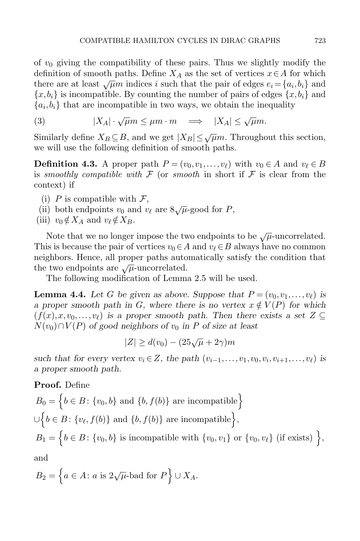of  $v_0$  giving the compatibility of these pairs. Thus we slightly modify the definition of smooth paths. Define  $X_A$  as the set of vertices  $x \in A$  for which there are at least  $\sqrt{\mu}m$  indices i such that the pair of edges  $e_i = \{a_i, b_i\}$  and  ${x, b_i}$  is incompatible. By counting the number of pairs of edges  ${x, b_i}$  and  ${a_i, b_i}$  that are incompatible in two ways, we obtain the inequality

<span id="page-26-0"></span>(3) 
$$
|X_A| \cdot \sqrt{\mu} m \le \mu m \cdot m \implies |X_A| \le \sqrt{\mu} m.
$$

Similarly define  $X_B \subseteq B$ , and we get  $|X_B| \leq \sqrt{\mu}m$ . Throughout this section, we will use the following definition of smooth paths.

**Definition 4.3.** A proper path  $P = (v_0, v_1, \ldots, v_\ell)$  with  $v_0 \in A$  and  $v_\ell \in B$ is smoothly compatible with  $\mathcal F$  (or smooth in short if  $\mathcal F$  is clear from the context) if

- (i) P is compatible with  $\mathcal{F}$ ,
- (ii) both endpoints  $v_0$  and  $v_\ell$  are  $8\sqrt{\mu}$ -good for P,
- (iii)  $v_0 \notin X_A$  and  $v_\ell \notin X_B$ .

Note that we no longer impose the two endpoints to be  $\sqrt{\mu}$ -uncorrelated. This is because the pair of vertices  $v_0 \in A$  and  $v_\ell \in B$  always have no common neighbors. Hence, all proper paths automatically satisfy the condition that the two endpoints are  $\sqrt{\mu}$ -uncorrelated.

The following modification of Lemma [2.5](#page-7-0) will be used.

<span id="page-26-1"></span>**Lemma 4.4.** Let G be given as above. Suppose that  $P = (v_0, v_1, \ldots, v_\ell)$  is a proper smooth path in G, where there is no vertex  $x \notin V(P)$  for which  $(f(x),x,v_0,\ldots,v_\ell)$  is a proper smooth path. Then there exists a set  $Z \subseteq$  $N(v_0) \cap V(P)$  of good neighbors of  $v_0$  in P of size at least

$$
|Z| \ge d(v_0) - (25\sqrt{\mu} + 2\gamma)m
$$

such that for every vertex  $v_i \in Z$ , the path  $(v_{i-1},...,v_1,v_0,v_i,v_{i+1},...,v_\ell)$  is a proper smooth path.

## Proof. Define

$$
B_0 = \left\{ b \in B: \{v_0, b\} \text{ and } \{b, f(b)\} \text{ are incompatible} \right\}
$$
  

$$
\cup \left\{ b \in B: \{v_\ell, f(b)\} \text{ and } \{b, f(b)\} \text{ are incompatible} \right\},
$$
  

$$
B_1 = \left\{ b \in B: \{v_0, b\} \text{ is incompatible with } \{v_0, v_1\} \text{ or } \{v_0, v_\ell\} \text{ (if exists) } \right\},
$$

and

$$
B_2 = \left\{ a \in A \colon a \text{ is } 2\sqrt{\mu} \text{-bad for } P \right\} \cup X_A.
$$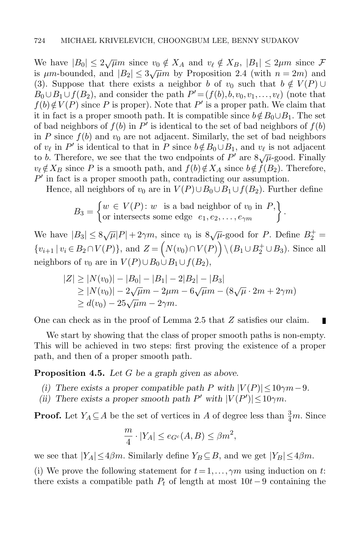We have  $|B_0| \leq 2\sqrt{\mu}m$  since  $v_0 \notin X_A$  and  $v_\ell \notin X_B$ ,  $|B_1| \leq 2\mu m$  since  $\mathcal F$ is  $\mu$ m-bounded, and  $|B_2| \leq 3\sqrt{\mu}m$  by Proposition [2.4](#page-6-0) (with  $n = 2m$ ) and [\(3\)](#page-26-0). Suppose that there exists a neighbor b of  $v_0$  such that  $b \notin V(P) \cup$  $B_0 \cup B_1 \cup f(B_2)$ , and consider the path  $P' = (f(b), b, v_0, v_1, \ldots, v_\ell)$  (note that  $f(b) \notin V(P)$  since P is proper). Note that P' is a proper path. We claim that it in fact is a proper smooth path. It is compatible since  $b \notin B_0 \cup B_1$ . The set of bad neighbors of  $f(b)$  in  $P'$  is identical to the set of bad neighbors of  $f(b)$ in P since  $f(b)$  and  $v_0$  are not adjacent. Similarly, the set of bad neighbors of  $v_{\ell}$  in P' is identical to that in P since  $b \notin B_0 \cup B_1$ , and  $v_{\ell}$  is not adjacent to b. Therefore, we see that the two endpoints of P' are  $8\sqrt{\mu}$ -good. Finally  $v_{\ell} \notin X_B$  since P is a smooth path, and  $f(b) \notin X_A$  since  $b \notin f(B_2)$ . Therefore,  $P'$  in fact is a proper smooth path, contradicting our assumption.

Hence, all neighbors of  $v_0$  are in  $V(P) \cup B_0 \cup B_1 \cup f(B_2)$ . Further define

$$
B_3 = \begin{cases} w \in V(P) : w \text{ is a bad neighbor of } v_0 \text{ in } P, \\ \text{or intersects some edge } e_1, e_2, \dots, e_{\gamma m} \end{cases}.
$$

We have  $|B_3| \leq 8\sqrt{\mu} |P| + 2\gamma m$ , since  $v_0$  is  $8\sqrt{\mu}$ -good for P. Define  $B_2^+$  =  $\{v_{i+1} | v_i \in B_2 \cap V(P)\}\$ , and  $Z = \left(N(v_0) \cap V(P)\right) \setminus (B_1 \cup B_2^+ \cup B_3)$ . Since all neighbors of  $v_0$  are in  $V(P) \cup B_0 \cup B_1 \cup f(B_2)$ ,

$$
|Z| \ge |N(v_0)| - |B_0| - |B_1| - 2|B_2| - |B_3|
$$
  
\n
$$
\ge |N(v_0)| - 2\sqrt{\mu}m - 2\mu m - 6\sqrt{\mu}m - (8\sqrt{\mu} \cdot 2m + 2\gamma m)
$$
  
\n
$$
\ge d(v_0) - 25\sqrt{\mu}m - 2\gamma m.
$$

One can check as in the proof of Lemma [2.5](#page-7-0) that Z satisfies our claim.

П

We start by showing that the class of proper smooth paths is non-empty. This will be achieved in two steps: first proving the existence of a proper path, and then of a proper smooth path.

<span id="page-27-0"></span>**Proposition 4.5.** Let  $G$  be a graph given as above.

- (i) There exists a proper compatible path P with  $|V(P)| \leq 10\gamma m 9$ .
- (ii) There exists a proper smooth path P' with  $|V(P')| \leq 10\gamma m$ .

**Proof.** Let  $Y_A \subseteq A$  be the set of vertices in A of degree less than  $\frac{3}{4}m$ . Since

$$
\frac{m}{4} \cdot |Y_A| \le e_{G^c}(A, B) \le \beta m^2,
$$

we see that  $|Y_A| \leq 4\beta m$ . Similarly define  $Y_B \subseteq B$ , and we get  $|Y_B| \leq 4\beta m$ .

(i) We prove the following statement for  $t = 1, \ldots, \gamma m$  using induction on t: there exists a compatible path  $P_t$  of length at most  $10t-9$  containing the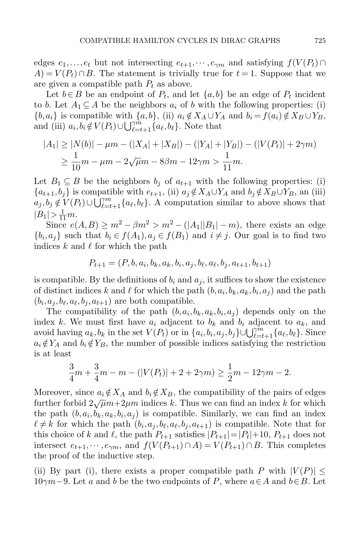edges  $e_1, \ldots, e_t$  but not intersecting  $e_{t+1}, \cdots, e_{\gamma m}$  and satisfying  $f(V(P_t) \cap$  $A$ ) =  $V(P_t) \cap B$ . The statement is trivially true for  $t = 1$ . Suppose that we are given a compatible path  $P_t$  as above.

Let  $b \in B$  be an endpoint of  $P_t$ , and let  $\{a, b\}$  be an edge of  $P_t$  incident to b. Let  $A_1 \subseteq A$  be the neighbors  $a_i$  of b with the following properties: (i)  ${b, a_i}$  is compatible with  ${a, b}$ , (ii)  $a_i \notin X_A \cup Y_A$  and  $b_i = f(a_i) \notin X_B \cup Y_B$ , and (iii)  $a_i, b_i \notin V(P_t) \cup \bigcup_{\ell=t+1}^{\gamma m} \{a_\ell, b_\ell\}$ . Note that

$$
|A_1| \ge |N(b)| - \mu m - (|X_A| + |X_B|) - (|Y_A| + |Y_B|) - (|V(P_t)| + 2\gamma m)
$$
  

$$
\ge \frac{1}{10}m - \mu m - 2\sqrt{\mu}m - 8\beta m - 12\gamma m > \frac{1}{11}m.
$$

Let  $B_1 \subseteq B$  be the neighbors  $b_j$  of  $a_{t+1}$  with the following properties: (i)  ${a_{t+1}, b_j}$  is compatible with  $e_{t+1}$ , (ii)  $a_j \notin X_A \cup Y_A$  and  $b_j \notin X_B \cup Y_B$ , an (iii)  $a_j, b_j \notin V(P_t) \cup \bigcup_{\ell=t+1}^{\gamma m} \{a_\ell, b_\ell\}.$  A computation similar to above shows that  $|B_1| > \frac{1}{11}m.$ 

Since  $e(A,B) \ge m^2 - \beta m^2 > m^2 - (|A_1||B_1| - m)$ , there exists an edge  $\{b_i, a_j\}$  such that  $b_i \in f(A_1), a_j \in f(B_1)$  and  $i \neq j$ . Our goal is to find two indices k and  $\ell$  for which the path

$$
P_{t+1} = (P, b, a_i, b_k, a_k, b_i, a_j, b_\ell, a_\ell, b_j, a_{t+1}, b_{t+1})
$$

is compatible. By the definitions of  $b_i$  and  $a_j$ , it suffices to show the existence of distinct indices k and  $\ell$  for which the path  $(b, a_i, b_k, a_k, b_i, a_j)$  and the path  $(b_i, a_j, b_\ell, a_\ell, b_j, a_{t+1})$  are both compatible.

The compatibility of the path  $(b, a_i, b_k, a_k, b_i, a_j)$  depends only on the index k. We must first have  $a_i$  adjacent to  $b_k$  and  $b_i$  adjacent to  $a_k$ , and avoid having  $a_k, b_k$  in the set  $V(P_t)$  or in  $\{a_i, b_i, a_j, b_j\} \cup \bigcup_{\ell=t+1}^{j m} \{a_\ell, b_\ell\}$ . Since  $a_i \notin Y_A$  and  $b_i \notin Y_B$ , the number of possible indices satisfying the restriction is at least

$$
\frac{3}{4}m + \frac{3}{4}m - m - (|V(P_t)| + 2 + 2\gamma m) \ge \frac{1}{2}m - 12\gamma m - 2.
$$

Moreover, since  $a_i \notin X_A$  and  $b_i \notin X_B$ , the compatibility of the pairs of edges further forbid  $2\sqrt{\mu}m+2\mu m$  indices k. Thus we can find an index k for which the path  $(b, a_i, b_k, a_k, b_i, a_j)$  is compatible. Similarly, we can find an index  $\ell \neq k$  for which the path  $(b_i, a_j, b_\ell, a_\ell, b_j, a_{t+1})$  is compatible. Note that for this choice of k and  $\ell$ , the path  $P_{t+1}$  satisfies  $|P_{t+1}| = |P_t| + 10$ ,  $P_{t+1}$  does not intersect  $e_{t+1},\dots,e_{\gamma m}$ , and  $f(V(P_{t+1})\cap A)=V(P_{t+1})\cap B$ . This completes the proof of the inductive step.

(ii) By part (i), there exists a proper compatible path P with  $|V(P)| \leq$ 10γm−9. Let a and b be the two endpoints of P, where  $a \in A$  and  $b \in B$ . Let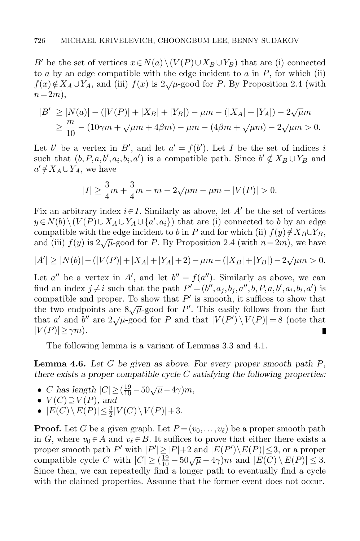B' be the set of vertices  $x \in N(a) \setminus (V(P) \cup X_B \cup Y_B)$  that are (i) connected to  $a$  by an edge compatible with the edge incident to  $a$  in  $P$ , for which (ii)  $f(x)\notin X_A\cup Y_A$ , and (iii)  $f(x)$  is  $2\sqrt{\mu}$ -good for P. By Proposition [2.4](#page-6-0) (with  $n = 2m$ ,

$$
|B'| \ge |N(a)| - (|V(P)| + |X_B| + |Y_B|) - \mu m - (|X_A| + |Y_A|) - 2\sqrt{\mu}m
$$
  
\n
$$
\ge \frac{m}{10} - (10\gamma m + \sqrt{\mu}m + 4\beta m) - \mu m - (4\beta m + \sqrt{\mu}m) - 2\sqrt{\mu}m > 0.
$$

Let b' be a vertex in B', and let  $a' = f(b')$ . Let I be the set of indices i such that  $(b, P, a, b', a_i, b_i, a')$  is a compatible path. Since  $b' \notin X_B \cup Y_B$  and  $a' \notin X_A \cup Y_A$ , we have

$$
|I| \ge \frac{3}{4}m + \frac{3}{4}m - m - 2\sqrt{\mu}m - \mu m - |V(P)| > 0.
$$

Fix an arbitrary index  $i \in I$ . Similarly as above, let A' be the set of vertices  $y \in N(b) \setminus (V(P) \cup X_A \cup Y_A \cup \{a', a_i\})$  that are (i) connected to b by an edge compatible with the edge incident to b in P and for which (ii)  $f(y) \notin X_B \cup Y_B$ , and (iii)  $f(y)$  is  $2\sqrt{\mu}$ -good for P. By Proposition [2.4](#page-6-0) (with  $n=2m$ ), we have

$$
|A'| \ge |N(b)| - (|V(P)| + |X_A| + |Y_A| + 2) - \mu m - (|X_B| + |Y_B|) - 2\sqrt{\mu}m > 0.
$$

Let  $a''$  be a vertex in A', and let  $b'' = f(a'')$ . Similarly as above, we can find an index  $j \neq i$  such that the path  $P' = (b'', a_j, b_j, a'', b, P, a, b', a_i, b_i, a')$  is compatible and proper. To show that  $P'$  is smooth, it suffices to show that the two endpoints are  $8\sqrt{\mu}$ -good for P'. This easily follows from the fact that a' and b'' are  $2\sqrt{\mu}$ -good for P and that  $|V(P') \setminus V(P)| = 8$  (note that  $|V(P)| \geq \gamma m$ ). I

The following lemma is a variant of Lemmas [3.3](#page-9-0) and [4.1.](#page-21-2)

<span id="page-29-0"></span>**Lemma 4.6.** Let G be given as above. For every proper smooth path  $P$ , there exists a proper compatible cycle  $C$  satisfying the following properties:

- C has length  $|C| \geq (\frac{19}{10} 50\sqrt{\mu} 4\gamma)m$ ,
- $V(C) \supseteq V(P)$ , and
- $|E(C) \setminus E(P)| \leq \frac{3}{2}|V(C) \setminus V(P)| + 3.$

**Proof.** Let G be a given graph. Let  $P = (v_0, \ldots, v_\ell)$  be a proper smooth path in G, where  $v_0 \in A$  and  $v_\ell \in B$ . It suffices to prove that either there exists a proper smooth path  $P'$  with  $|P'| \geq |P|+2$  and  $|E(P')\backslash E(P)| \leq 3$ , or a proper proper smooth path  $T$  with  $|T| \ge |T| + 2$  and  $|E(T)| \ge 0$ , or a proper<br>compatible cycle C with  $|C| \ge (\frac{19}{10} - 50\sqrt{\mu} - 4\gamma)m$  and  $|E(C) \setminus E(P)| \le 3$ . Since then, we can repeatedly find a longer path to eventually find a cycle with the claimed properties. Assume that the former event does not occur.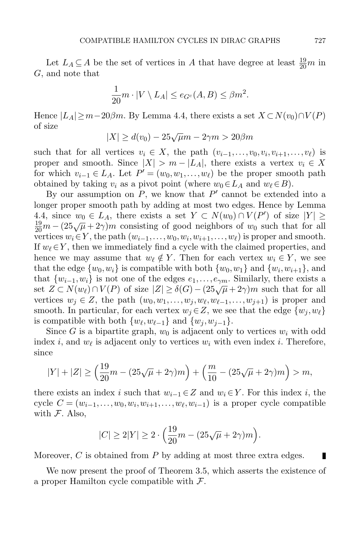Let  $L_A \subseteq A$  be the set of vertices in A that have degree at least  $\frac{19}{20}m$  in G, and note that

$$
\frac{1}{20}m \cdot |V \setminus L_A| \le e_{G^c}(A, B) \le \beta m^2.
$$

Hence  $|L_A|\geq m-20\beta m$ . By Lemma [4.4,](#page-26-1) there exists a set  $X\subset N(v_0)\cap V(P)$ of size

 $|X| \ge d(v_0) - 25\sqrt{\mu}m - 2\gamma m > 20\beta m$ 

such that for all vertices  $v_i \in X$ , the path  $(v_{i-1},...,v_0,v_i,v_{i+1},...,v_\ell)$  is proper and smooth. Since  $|X| > m - |L_A|$ , there exists a vertex  $v_i \in X$ for which  $v_{i-1} \in L_A$ . Let  $P' = (w_0, w_1, \ldots, w_\ell)$  be the proper smooth path obtained by taking  $v_i$  as a pivot point (where  $w_0 \in L_A$  and  $w_\ell \in B$ ).

By our assumption on  $P$ , we know that  $P'$  cannot be extended into a longer proper smooth path by adding at most two edges. Hence by Lemma [4.4,](#page-26-1) since  $w_0 \in L_A$ , there exists a set  $Y \subset N(w_0) \cap V(P')$  of size  $|Y| \geq$  $\frac{19}{20}m - (25\sqrt{\mu} + 2\gamma)m$  consisting of good neighbors of  $w_0$  such that for all vertices  $w_i \in Y$ , the path  $(w_{i-1}, \ldots, w_0, w_i, w_{i+1}, \ldots, w_\ell)$  is proper and smooth. If  $w_\ell \in Y$ , then we immediately find a cycle with the claimed properties, and hence we may assume that  $w_{\ell} \notin Y$ . Then for each vertex  $w_i \in Y$ , we see that the edge  $\{w_0, w_i\}$  is compatible with both  $\{w_0, w_1\}$  and  $\{w_i, w_{i+1}\}$ , and that  $\{w_{i-1}, w_i\}$  is not one of the edges  $e_1, \ldots, e_{\gamma m}$ . Similarly, there exists a set  $Z \subset N(w_\ell) \cap V(P)$  of size  $|Z| \geq \delta(G) - (25\sqrt{\mu} + 2\gamma)m$  such that for all vertices  $w_j \in Z$ , the path  $(w_0, w_1, \ldots, w_j, w_{\ell}, w_{\ell-1}, \ldots, w_{j+1})$  is proper and smooth. In particular, for each vertex  $w_i \in Z$ , we see that the edge  $\{w_i, w_\ell\}$ is compatible with both  $\{w_{\ell}, w_{\ell-1}\}\$  and  $\{w_j, w_{j-1}\}.$ 

Since G is a bipartite graph,  $w_0$  is adjacent only to vertices  $w_i$  with odd index *i*, and  $w_{\ell}$  is adjacent only to vertices  $w_i$  with even index *i*. Therefore, since

$$
|Y| + |Z| \ge \left(\frac{19}{20}m - (25\sqrt{\mu} + 2\gamma)m\right) + \left(\frac{m}{10} - (25\sqrt{\mu} + 2\gamma)m\right) > m,
$$

there exists an index i such that  $w_{i-1} \in Z$  and  $w_i \in Y$ . For this index i, the cycle  $C = (w_{i-1}, \ldots, w_0, w_i, w_{i+1}, \ldots, w_\ell, w_{i-1})$  is a proper cycle compatible with  $F$ . Also,

$$
|C|\ge 2|Y|\ge 2\cdot\Big(\frac{19}{20}m-(25\sqrt{\mu}+2\gamma)m\Big).
$$

Moreover,  $C$  is obtained from  $P$  by adding at most three extra edges.

We now present the proof of Theorem [3.5,](#page-21-1) which asserts the existence of a proper Hamilton cycle compatible with  $\mathcal{F}$ .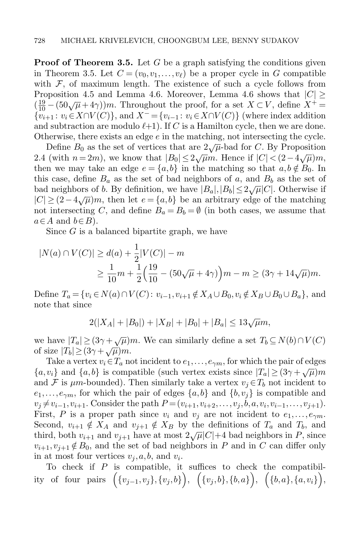**Proof of Theorem [3.5.](#page-21-1)** Let G be a graph satisfying the conditions given in Theorem [3.5.](#page-21-1) Let  $C = (v_0, v_1, \ldots, v_\ell)$  be a proper cycle in G compatible with  $F$ , of maximum length. The existence of such a cycle follows from Proposition [4.5](#page-27-0) and Lemma [4.6.](#page-29-0) Moreover, Lemma [4.6](#page-29-0) shows that  $|C| \geq$  $(\frac{19}{10} - (50\sqrt{\mu} + 4\gamma))m$ . Throughout the proof, for a set  $X \subset V$ , define  $X^+ =$  ${v_{i+1} : v_i \in X \cap V(C)}$ , and  $X^- = {v_{i-1} : v_i \in X \cap V(C)}$  (where index addition and subtraction are modulo  $\ell+1$ ). If C is a Hamilton cycle, then we are done. Otherwise, there exists an edge  $e$  in the matching, not intersecting the cycle.

Define  $B_0$  as the set of vertices that are  $2\sqrt{\mu}$ -bad for C. By Proposition [2.4](#page-6-0) (with  $n = 2m$ ), we know that  $|B_0| \le 2\sqrt{\mu}m$ . Hence if  $|C| < (2-4\sqrt{\mu})m$ , then we may take an edge  $e = \{a, b\}$  in the matching so that  $a, b \notin B_0$ . In this case, define  $B_a$  as the set of bad neighbors of a, and  $B_b$  as the set of bad neighbors of b. By definition, we have  $|B_a|, |B_b| \leq 2\sqrt{\mu}|C|$ . Otherwise if  $|C| \geq (2-4\sqrt{\mu})m$ , then let  $e = \{a,b\}$  be an arbitrary edge of the matching not intersecting C, and define  $B_a = B_b = \emptyset$  (in both cases, we assume that  $a \in A$  and  $b \in B$ ).

Since G is a balanced bipartite graph, we have

$$
|N(a) \cap V(C)| \ge d(a) + \frac{1}{2}|V(C)| - m
$$
  
 
$$
\ge \frac{1}{10}m + \frac{1}{2}\left(\frac{19}{10} - (50\sqrt{\mu} + 4\gamma)\right)m - m \ge (3\gamma + 14\sqrt{\mu})m.
$$

Define  $T_a = \{v_i \in N(a) \cap V(C): v_{i-1}, v_{i+1} \notin X_A \cup B_0, v_i \notin X_B \cup B_0 \cup B_a\}$ , and note that since

 $2(|X_A|+|B_0|)+|X_B|+|B_0|+|B_a|\leq 13\sqrt{\mu}m,$ 

we have  $|T_a| \geq (3\gamma + \sqrt{\mu})m$ . We can similarly define a set  $T_b \subseteq N(b) \cap V(C)$ of size  $|T_b| \geq (3\gamma + \sqrt{\mu})m$ .

Take a vertex  $v_i \in T_a$  not incident to  $e_1, \ldots, e_{\gamma m}$ , for which the pair of edges fake a vertex  $v_i \,\epsilon T_a$  not incident to  $\epsilon_1, \ldots, \epsilon_{\gamma m}$ , for which the pair of edges  $\{a, v_i\}$  and  $\{a, b\}$  is compatible (such vertex exists since  $|T_a| \ge (3\gamma + \sqrt{\mu})m$ and F is  $\mu$ m-bounded). Then similarly take a vertex  $v_i \in T_b$  not incident to  $e_1,\ldots,e_{\gamma m}$ , for which the pair of edges  $\{a,b\}$  and  $\{b,v_i\}$  is compatible and  $v_j \neq v_{i-1}, v_{i+1}$ . Consider the path  $P = (v_{i+1}, v_{i+2}, \ldots, v_j, b, a, v_i, v_{i-1}, \ldots, v_{j+1})$ . First, P is a proper path since  $v_i$  and  $v_j$  are not incident to  $e_1, \ldots, e_{\gamma m}$ . Second,  $v_{i+1} \notin X_A$  and  $v_{i+1} \notin X_B$  by the definitions of  $T_a$  and  $T_b$ , and third, both  $v_{i+1}$  and  $v_{j+1}$  have at most  $2\sqrt{\mu}|C|+4$  bad neighbors in P, since  $v_{i+1}, v_{j+1} \notin B_0$ , and the set of bad neighbors in P and in C can differ only in at most four vertices  $v_j, a, b$ , and  $v_i$ .

To check if  $P$  is compatible, it suffices to check the compatibil- $\text{ity} \;\; \text{of} \;\; \text{four} \;\; \text{pairs} \;\; \Big( \{v_{j-1}, v_j\}, \{v_j, b\} \Big), \;\; \Big( \{v_j, b\}, \{b, a\} \Big), \;\; \Big( \{b, a\}, \{a, v_i\} \Big),$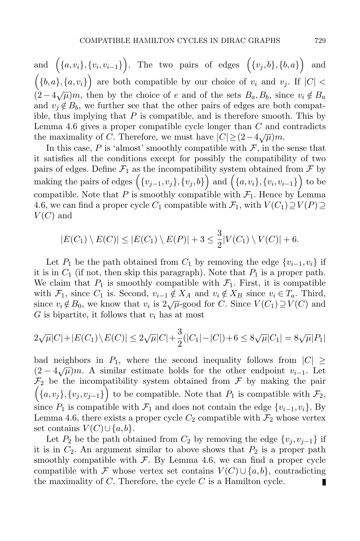$\quad \text{ and } \ \Big(\{a, v_i\}, \{v_i, v_{i-1}\}\Big). \ \ \text{ The two pairs of edges } \ \Big(\{v_j, b\}, \{b, a\}\Big)$ and  $({b,a}, {a,v_i})$  are both compatible by our choice of  $v_i$  and  $v_j$ . If  $|C|$  $(2-4\sqrt{\mu})m$ , then by the choice of e and of the sets  $B_a, B_b$ , since  $v_i \notin B_a$ and  $v_j \notin B_b$ , we further see that the other pairs of edges are both compatible, thus implying that  $P$  is compatible, and is therefore smooth. This by Lemma [4.6](#page-29-0) gives a proper compatible cycle longer than C and contradicts the maximality of C. Therefore, we must have  $|C| \geq (2-4\sqrt{\mu})m$ .

In this case,  $P$  is 'almost' smoothly compatible with  $\mathcal{F}$ , in the sense that it satisfies all the conditions except for possibly the compatibility of two pairs of edges. Define  $\mathcal{F}_1$  as the incompatibility system obtained from  $\mathcal F$  by making the pairs of edges  $\Big(\{v_{j-1},v_j\},\{v_j,b\}\Big)$  and  $\Big(\{a,v_i\},\{v_i,v_{i-1}\}\Big)$  to be compatible. Note that P is smoothly compatible with  $\mathcal{F}_1$ . Hence by Lemma [4.6,](#page-29-0) we can find a proper cycle  $C_1$  compatible with  $\mathcal{F}_1$ , with  $V(C_1) \supseteq V(P) \supseteq$  $V(C)$  and

$$
|E(C_1) \setminus E(C)| \le |E(C_1) \setminus E(P)| + 3 \le \frac{3}{2}|V(C_1) \setminus V(C)| + 6.
$$

Let P<sub>1</sub> be the path obtained from  $C_1$  by removing the edge  $\{v_{i-1}, v_i\}$  if it is in  $C_1$  (if not, then skip this paragraph). Note that  $P_1$  is a proper path. We claim that  $P_1$  is smoothly compatible with  $\mathcal{F}_1$ . First, it is compatible with  $\mathcal{F}_1$ , since  $C_1$  is. Second,  $v_{i-1} \notin X_A$  and  $v_i \notin X_B$  since  $v_i \in T_a$ . Third, with  $\mathcal{F}_1$ , since  $\mathcal{C}_1$  is. Second,  $v_{i-1} \nsubseteq X_A$  and  $v_i \nsubseteq X_B$  since  $v_i \nsubseteq I_a$ . Thind, since  $v_i \notin B_0$ , we know that  $v_i$  is  $2\sqrt{\mu}$ -good for C. Since  $V(C_1) \supseteq V(C)$  and  $G$  is bipartite, it follows that  $v_i$  has at most

$$
2\sqrt{\mu}|C| + |E(C_1)\setminus E(C)| \le 2\sqrt{\mu}|C| + \frac{3}{2}(|C_1| - |C|) + 6 \le 8\sqrt{\mu}|C_1| = 8\sqrt{\mu}|P_1|
$$

bad neighbors in  $P_1$ , where the second inequality follows from  $|C| \geq$  $(2-4\sqrt{\mu})m$ . A similar estimate holds for the other endpoint  $v_{i-1}$ . Let  $\mathcal{F}_2$  be the incompatibility system obtained from  $\mathcal F$  by making the pair  $(\lbrace a, v_j \rbrace, \lbrace v_j, v_{j-1} \rbrace)$  to be compatible. Note that  $P_1$  is compatible with  $\mathcal{F}_2$ , since  $P_1$  is compatible with  $\mathcal{F}_1$  and does not contain the edge  $\{v_{i-1}, v_i\}$ . By Lemma [4.6,](#page-29-0) there exists a proper cycle  $C_2$  compatible with  $\mathcal{F}_2$  whose vertex set contains  $V(C) \cup \{a, b\}.$ 

Let  $P_2$  be the path obtained from  $C_2$  by removing the edge  $\{v_j, v_{j-1}\}$  if it is in  $C_2$ . An argument similar to above shows that  $P_2$  is a proper path smoothly compatible with  $F$ . By Lemma [4.6,](#page-29-0) we can find a proper cycle compatible with F whose vertex set contains  $V(C) \cup \{a, b\}$ , contradicting the maximality of  $C$ . Therefore, the cycle  $C$  is a Hamilton cycle. П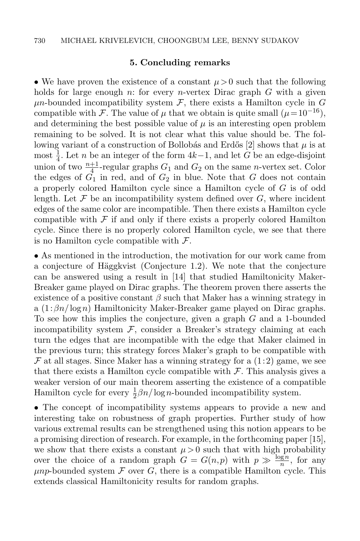#### 5. Concluding remarks

<span id="page-33-0"></span>• We have proven the existence of a constant  $\mu > 0$  such that the following holds for large enough n: for every n-vertex Dirac graph  $G$  with a given  $\mu$ n-bounded incompatibility system  $\mathcal{F}$ , there exists a Hamilton cycle in G compatible with F. The value of  $\mu$  that we obtain is quite small  $(\mu = 10^{-16})$ , and determining the best possible value of  $\mu$  is an interesting open problem remaining to be solved. It is not clear what this value should be. The fol-lowing variant of a construction of Bollobás and Erdős [\[2\]](#page-34-10) shows that  $\mu$  is at most  $\frac{1}{4}$ . Let *n* be an integer of the form  $4k-1$ , and let *G* be an edge-disjoint union of two  $\frac{n+1}{4}$ -regular graphs  $G_1$  and  $G_2$  on the same *n*-vertex set. Color the edges of  $G_1$  in red, and of  $G_2$  in blue. Note that G does not contain a properly colored Hamilton cycle since a Hamilton cycle of G is of odd length. Let  $\mathcal F$  be an incompatibility system defined over  $G$ , where incident edges of the same color are incompatible. Then there exists a Hamilton cycle compatible with  $\mathcal F$  if and only if there exists a properly colored Hamilton cycle. Since there is no properly colored Hamilton cycle, we see that there is no Hamilton cycle compatible with  $\mathcal{F}$ .

• As mentioned in the introduction, the motivation for our work came from a conjecture of Häggkvist (Conjecture [1.2\)](#page-2-0). We note that the conjecture can be answered using a result in [\[14\]](#page-34-4) that studied Hamiltonicity Maker-Breaker game played on Dirac graphs. The theorem proven there asserts the existence of a positive constant  $\beta$  such that Maker has a winning strategy in a  $(1:\beta n/\log n)$  Hamiltonicity Maker-Breaker game played on Dirac graphs. To see how this implies the conjecture, given a graph G and a 1-bounded incompatibility system  $\mathcal{F}$ , consider a Breaker's strategy claiming at each turn the edges that are incompatible with the edge that Maker claimed in the previous turn; this strategy forces Maker's graph to be compatible with  $\mathcal F$  at all stages. Since Maker has a winning strategy for a  $(1:2)$  game, we see that there exists a Hamilton cycle compatible with  $\mathcal F$ . This analysis gives a weaker version of our main theorem asserting the existence of a compatible Hamilton cycle for every  $\frac{1}{2}\beta n/\log n$ -bounded incompatibility system.

• The concept of incompatibility systems appears to provide a new and interesting take on robustness of graph properties. Further study of how various extremal results can be strengthened using this notion appears to be a promising direction of research. For example, in the forthcoming paper [\[15\]](#page-34-15), we show that there exists a constant  $\mu > 0$  such that with high probability over the choice of a random graph  $G = G(n,p)$  with  $p \gg \frac{\log n}{n}$ , for any  $\mu np$ -bounded system  $\mathcal F$  over  $G$ , there is a compatible Hamilton cycle. This extends classical Hamiltonicity results for random graphs.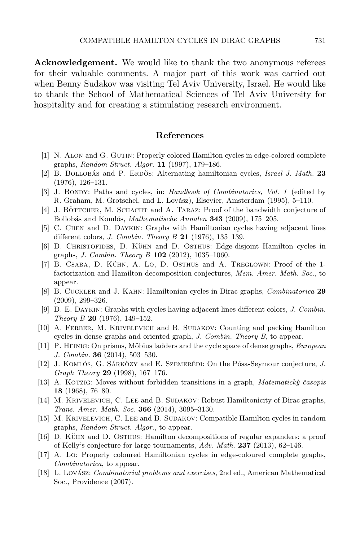Acknowledgement. We would like to thank the two anonymous referees for their valuable comments. A major part of this work was carried out when Benny Sudakov was visiting Tel Aviv University, Israel. He would like to thank the School of Mathematical Sciences of Tel Aviv University for hospitality and for creating a stimulating research environment.

#### References

- <span id="page-34-12"></span>[1] N. Alon and G. Gutin: Properly colored Hamilton cycles in edge-colored complete graphs, Random Struct. Algor. 11 (1997), 179–186.
- <span id="page-34-10"></span>[2] B. BOLLOBÁS and P. ERDŐS: Alternating hamiltonian cycles, Israel J. Math.  $23$ (1976), 126–131.
- <span id="page-34-8"></span>[3] J. BONDY: Paths and cycles, in: Handbook of Combinatorics, Vol. 1 (edited by R. Graham, M. Grotschel, and L. Lovász), Elsevier, Amsterdam (1995), 5–110.
- [4] J. BÖTTCHER, M. SCHACHT and A. TARAZ: Proof of the bandwidth conjecture of Bollobás and Komlós, Mathematische Annalen 343 (2009), 175–205.
- <span id="page-34-11"></span>[5] C. Chen and D. Daykin: Graphs with Hamiltonian cycles having adjacent lines different colors, *J. Combin. Theory B* 21 (1976), 135-139.
- <span id="page-34-1"></span>[6] D. CHRISTOFIDES, D. KÜHN and D. OSTHUS: Edge-disjoint Hamilton cycles in graphs, *J. Combin. Theory B*  $102$  (2012), 1035–1060.
- <span id="page-34-5"></span>[7] B. CSABA, D. KÜHN, A. LO, D. OSTHUS and A. TREGLOWN: Proof of the 1factorization and Hamilton decomposition conjectures, Mem. Amer. Math. Soc., to appear.
- <span id="page-34-0"></span>[8] B. Cuckler and J. Kahn: Hamiltonian cycles in Dirac graphs, Combinatorica 29 (2009), 299–326.
- <span id="page-34-9"></span>[9] D. E. Daykin: Graphs with cycles having adjacent lines different colors, J. Combin. Theory B 20 (1976), 149–152.
- <span id="page-34-2"></span>[10] A. Ferber, M. Krivelevich and B. Sudakov: Counting and packing Hamilton cycles in dense graphs and oriented graph, J. Combin. Theory B, to appear.
- <span id="page-34-3"></span>[11] P. HEINIG: On prisms, Möbius ladders and the cycle space of dense graphs, *European* J. Combin. 36 (2014), 503–530.
- [12] J. KOMLÓS, G. SÁRKÖZY and E. SZEMERÉDI: On the Pósa-Seymour conjecture, J. Graph Theory 29 (1998), 167–176.
- <span id="page-34-7"></span>[13] A. KOTZIG: Moves without forbidden transitions in a graph, *Matematick* $\hat{y}$  *časopis* 18 (1968), 76–80.
- <span id="page-34-4"></span>[14] M. KRIVELEVICH, C. LEE and B. SUDAKOV: Robust Hamiltonicity of Dirac graphs, Trans. Amer. Math. Soc. 366 (2014), 3095–3130.
- <span id="page-34-15"></span>[15] M. Krivelevich, C. Lee and B. Sudakov: Compatible Hamilton cycles in random graphs, Random Struct. Algor., to appear.
- <span id="page-34-6"></span>[16] D. KÜHN and D. OSTHUS: Hamilton decompositions of regular expanders: a proof of Kelly's conjecture for large tournaments,  $Adv. Math. 237 (2013), 62-146.$
- <span id="page-34-13"></span>[17] A. Lo: Properly coloured Hamiltonian cycles in edge-coloured complete graphs, Combinatorica, to appear.
- <span id="page-34-14"></span>[18] L. Lovász: *Combinatorial problems and exercises*, 2nd ed., American Mathematical Soc., Providence (2007).